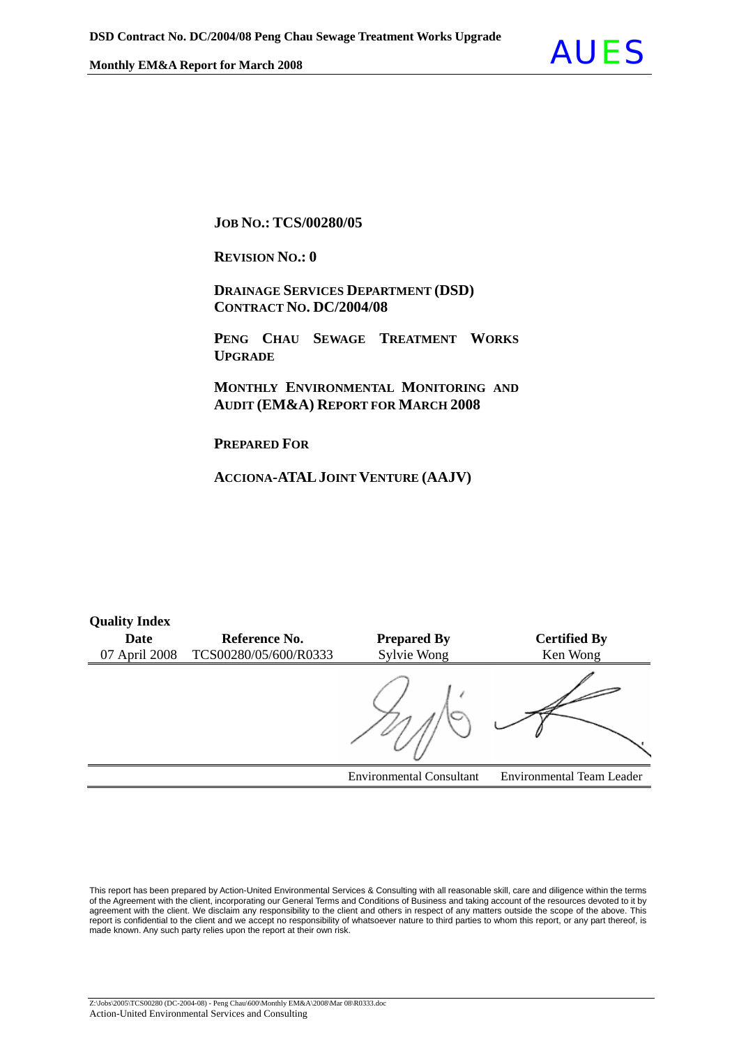

**JOB NO.: TCS/00280/05** 

**REVISION NO.: 0** 

 **DRAINAGE SERVICES DEPARTMENT (DSD) CONTRACT NO. DC/2004/08**

 **PENG CHAU SEWAGE TREATMENT WORKS UPGRADE**

 **MONTHLY ENVIRONMENTAL MONITORING AND AUDIT (EM&A) REPORT FOR MARCH 2008** 

**PREPARED FOR**

**Quality Index** 

**ACCIONA-ATALJOINT VENTURE (AAJV)**

| <b>Quality Hitley</b> |                       |                                 |                                  |
|-----------------------|-----------------------|---------------------------------|----------------------------------|
| <b>Date</b>           | Reference No.         | <b>Prepared By</b>              | <b>Certified By</b>              |
| 07 April 2008         | TCS00280/05/600/R0333 | Sylvie Wong                     | Ken Wong                         |
|                       |                       |                                 |                                  |
|                       |                       | <b>Environmental Consultant</b> | <b>Environmental Team Leader</b> |

This report has been prepared by Action-United Environmental Services & Consulting with all reasonable skill, care and diligence within the terms of the Agreement with the client, incorporating our General Terms and Conditions of Business and taking account of the resources devoted to it by agreement with the client. We disclaim any responsibility to the client and others in respect of any matters outside the scope of the above. This report is confidential to the client and we accept no responsibility of whatsoever nature to third parties to whom this report, or any part thereof, is made known. Any such party relies upon the report at their own risk.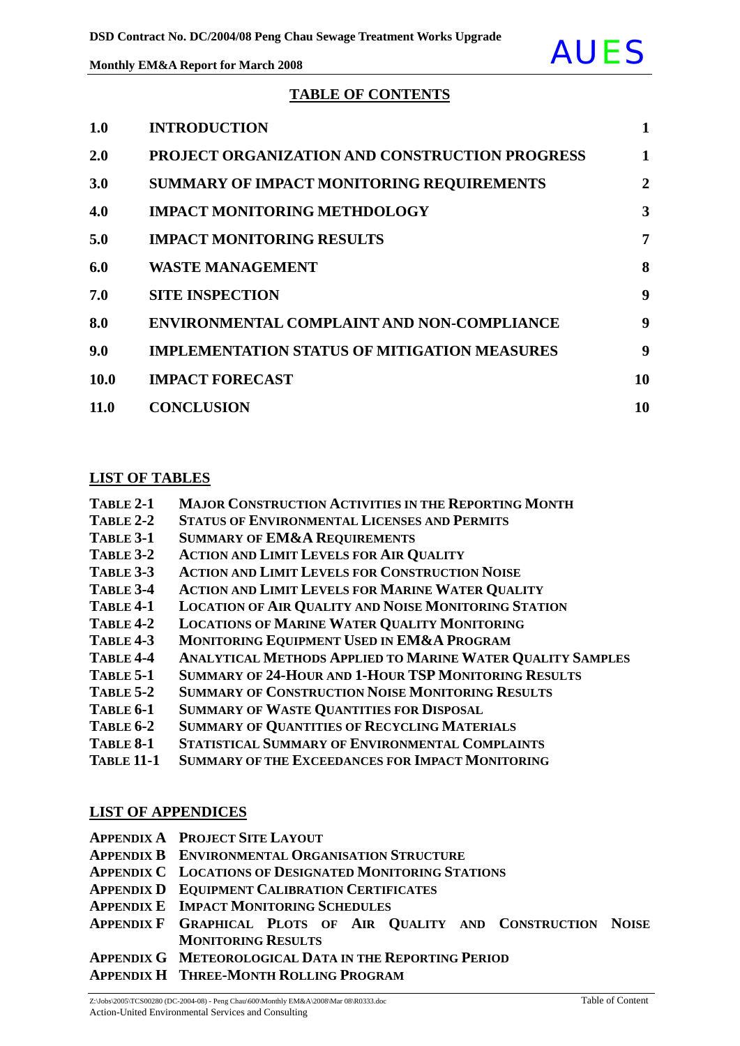

#### **TABLE OF CONTENTS**

| 1.0  | <b>INTRODUCTION</b>                                 | $\mathbf{1}$   |
|------|-----------------------------------------------------|----------------|
| 2.0  | PROJECT ORGANIZATION AND CONSTRUCTION PROGRESS      | 1              |
| 3.0  | SUMMARY OF IMPACT MONITORING REQUIREMENTS           | $\overline{2}$ |
| 4.0  | <b>IMPACT MONITORING METHDOLOGY</b>                 | 3              |
| 5.0  | <b>IMPACT MONITORING RESULTS</b>                    | 7              |
| 6.0  | <b>WASTE MANAGEMENT</b>                             | 8              |
| 7.0  | <b>SITE INSPECTION</b>                              | 9              |
| 8.0  | ENVIRONMENTAL COMPLAINT AND NON-COMPLIANCE          | 9              |
| 9.0  | <b>IMPLEMENTATION STATUS OF MITIGATION MEASURES</b> | 9              |
| 10.0 | <b>IMPACT FORECAST</b>                              | 10             |
| 11.0 | <b>CONCLUSION</b>                                   | 10             |

#### **LIST OF TABLES**

| TABLE 2-1 | <b>MAJOR CONSTRUCTION ACTIVITIES IN THE REPORTING MONTH</b> |
|-----------|-------------------------------------------------------------|
|           |                                                             |

- **TABLE 2-2 STATUS OF ENVIRONMENTAL LICENSES AND PERMITS**
- **TABLE 3-1 SUMMARY OF EM&A REQUIREMENTS**
- **TABLE 3-2 ACTION AND LIMIT LEVELS FOR AIR QUALITY**
- **TABLE 3-3 ACTION AND LIMIT LEVELS FOR CONSTRUCTION NOISE**
- **TABLE 3-4 ACTION AND LIMIT LEVELS FOR MARINE WATER QUALITY**
- **TABLE 4-1 LOCATION OF AIR QUALITY AND NOISE MONITORING STATION**
- **TABLE 4-2 LOCATIONS OF MARINE WATER QUALITY MONITORING**
- **TABLE 4-3 MONITORING EQUIPMENT USED IN EM&A PROGRAM**
- **TABLE 4-4 ANALYTICAL METHODS APPLIED TO MARINE WATER QUALITY SAMPLES**
- **TABLE 5-1 SUMMARY OF 24-HOUR AND 1-HOUR TSP MONITORING RESULTS**
- **TABLE 5-2 SUMMARY OF CONSTRUCTION NOISE MONITORING RESULTS**
- **TABLE 6-1 SUMMARY OF WASTE QUANTITIES FOR DISPOSAL**
- **TABLE 6-2 SUMMARY OF QUANTITIES OF RECYCLING MATERIALS**
- **TABLE 8-1 STATISTICAL SUMMARY OF ENVIRONMENTAL COMPLAINTS**
- **TABLE 11-1 SUMMARY OF THE EXCEEDANCES FOR IMPACT MONITORING**

### **LIST OF APPENDICES**

|  | <b>APPENDIX A PROJECT SITE LAYOUT</b> |
|--|---------------------------------------|
|--|---------------------------------------|

- **APPENDIX B ENVIRONMENTAL ORGANISATION STRUCTURE**
- **APPENDIX C LOCATIONS OF DESIGNATED MONITORING STATIONS**
- **APPENDIX D EQUIPMENT CALIBRATION CERTIFICATES**
- **APPENDIX E IMPACT MONITORING SCHEDULES**
- **APPENDIX F GRAPHICAL PLOTS OF AIR QUALITY AND CONSTRUCTION NOISE MONITORING RESULTS**

**APPENDIX G METEOROLOGICAL DATA IN THE REPORTING PERIOD**

**APPENDIX H THREE-MONTH ROLLING PROGRAM**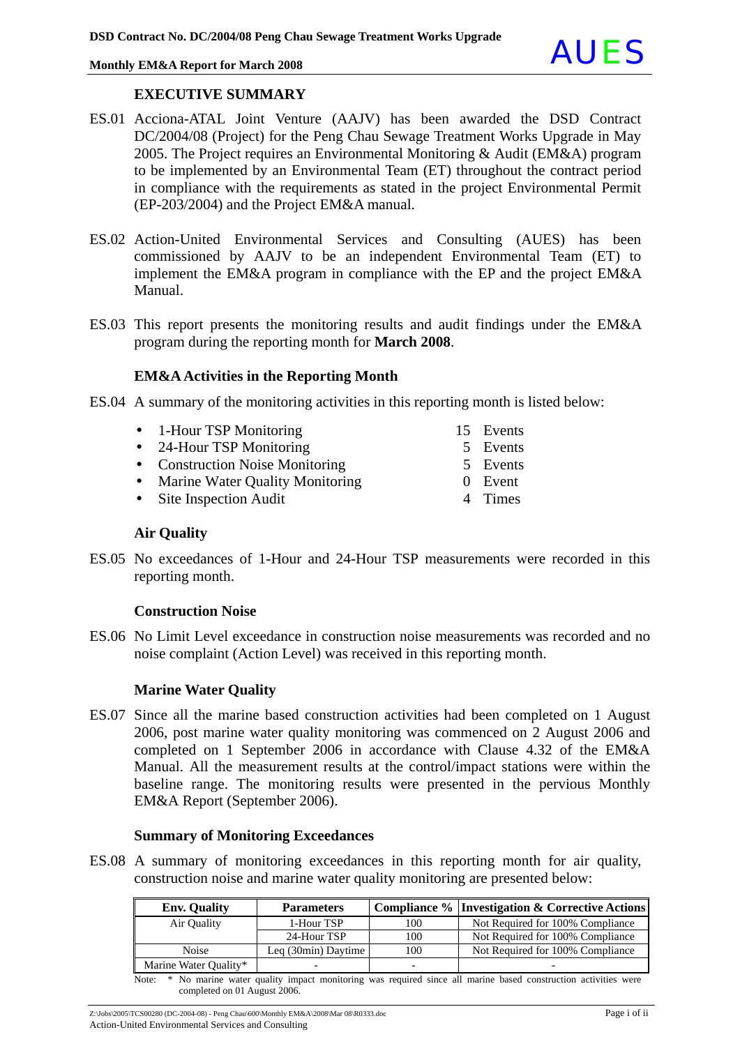

#### **EXECUTIVE SUMMARY**

- ES.01 Acciona-ATAL Joint Venture (AAJV) has been awarded the DSD Contract DC/2004/08 (Project) for the Peng Chau Sewage Treatment Works Upgrade in May 2005. The Project requires an Environmental Monitoring & Audit (EM&A) program to be implemented by an Environmental Team (ET) throughout the contract period in compliance with the requirements as stated in the project Environmental Permit (EP-203/2004) and the Project EM&A manual.
- ES.02 Action-United Environmental Services and Consulting (AUES) has been commissioned by AAJV to be an independent Environmental Team (ET) to implement the EM&A program in compliance with the EP and the project EM&A Manual.
- ES.03 This report presents the monitoring results and audit findings under the EM&A program during the reporting month for **March 2008**.

#### **EM&A Activities in the Reporting Month**

- ES.04 A summary of the monitoring activities in this reporting month is listed below:
	- 1-Hour TSP Monitoring 15 Events
	- 24-Hour TSP Monitoring 5 Events
	- Construction Noise Monitoring 5 Events
	- Marine Water Quality Monitoring 0 Event
	- Site Inspection Audit 4 Times

#### **Air Quality**

ES.05 No exceedances of 1-Hour and 24-Hour TSP measurements were recorded in this reporting month.

#### **Construction Noise**

ES.06 No Limit Level exceedance in construction noise measurements was recorded and no noise complaint (Action Level) was received in this reporting month.

#### **Marine Water Quality**

ES.07 Since all the marine based construction activities had been completed on 1 August 2006, post marine water quality monitoring was commenced on 2 August 2006 and completed on 1 September 2006 in accordance with Clause 4.32 of the EM&A Manual. All the measurement results at the control/impact stations were within the baseline range. The monitoring results were presented in the pervious Monthly EM&A Report (September 2006).

#### **Summary of Monitoring Exceedances**

ES.08 A summary of monitoring exceedances in this reporting month for air quality, construction noise and marine water quality monitoring are presented below:

| <b>Env. Quality</b>   | <b>Parameters</b>   |                          | <b>Compliance % Investigation &amp; Corrective Actions</b> |
|-----------------------|---------------------|--------------------------|------------------------------------------------------------|
| Air Quality           | 1-Hour TSP          | 100                      | Not Required for 100% Compliance                           |
|                       | 24-Hour TSP         | 100                      | Not Required for 100% Compliance                           |
| <b>Noise</b>          | Leg (30min) Daytime | 100                      | Not Required for 100% Compliance                           |
| Marine Water Quality* |                     | $\overline{\phantom{0}}$ |                                                            |

Note: \* No marine water quality impact monitoring was required since all marine based construction activities were completed on 01 August 2006.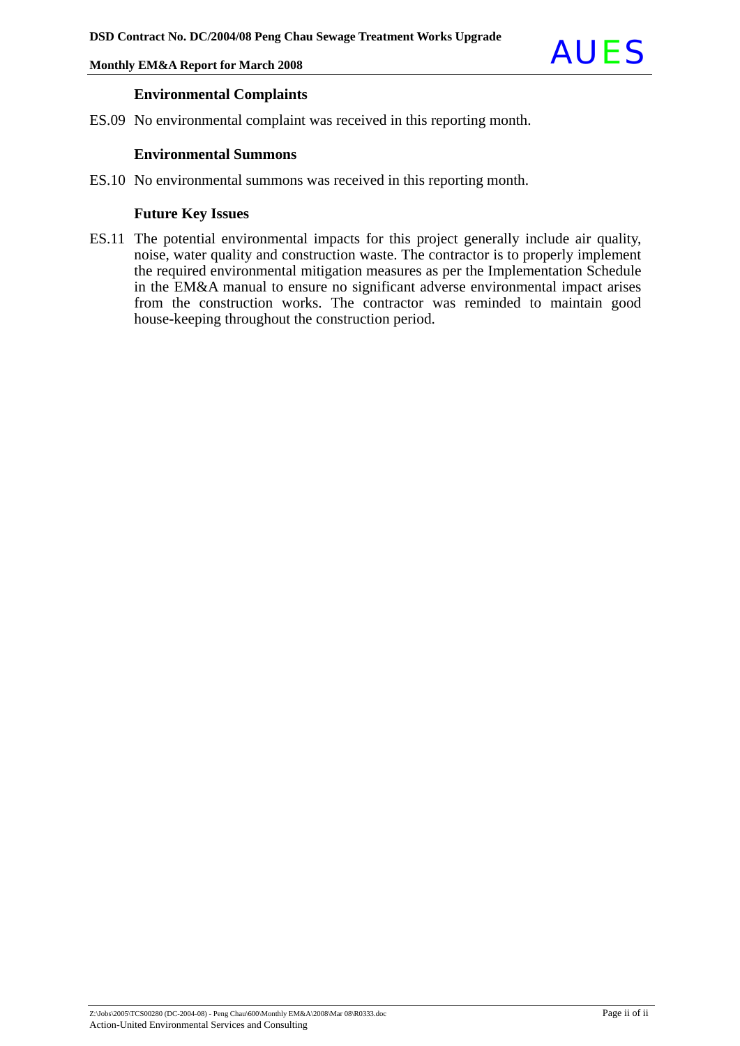

#### **Environmental Complaints**

ES.09 No environmental complaint was received in this reporting month.

#### **Environmental Summons**

ES.10 No environmental summons was received in this reporting month.

#### **Future Key Issues**

ES.11 The potential environmental impacts for this project generally include air quality, noise, water quality and construction waste. The contractor is to properly implement the required environmental mitigation measures as per the Implementation Schedule in the EM&A manual to ensure no significant adverse environmental impact arises from the construction works. The contractor was reminded to maintain good house-keeping throughout the construction period.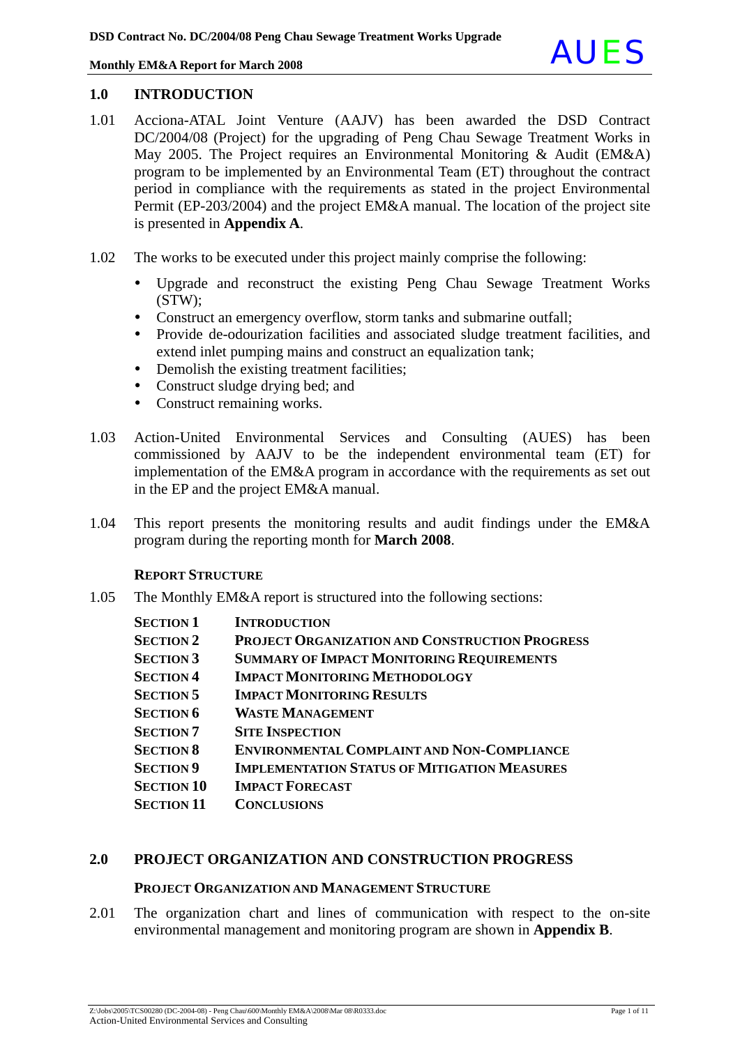

#### **1.0 INTRODUCTION**

- 1.01 Acciona-ATAL Joint Venture (AAJV) has been awarded the DSD Contract DC/2004/08 (Project) for the upgrading of Peng Chau Sewage Treatment Works in May 2005. The Project requires an Environmental Monitoring & Audit (EM&A) program to be implemented by an Environmental Team (ET) throughout the contract period in compliance with the requirements as stated in the project Environmental Permit (EP-203/2004) and the project EM&A manual. The location of the project site is presented in **Appendix A**.
- 1.02 The works to be executed under this project mainly comprise the following:
	- Upgrade and reconstruct the existing Peng Chau Sewage Treatment Works (STW);
	- Construct an emergency overflow, storm tanks and submarine outfall;
	- Provide de-odourization facilities and associated sludge treatment facilities, and extend inlet pumping mains and construct an equalization tank;
	- Demolish the existing treatment facilities:
	- Construct sludge drying bed; and
	- Construct remaining works.
- 1.03 Action-United Environmental Services and Consulting (AUES) has been commissioned by AAJV to be the independent environmental team (ET) for implementation of the EM&A program in accordance with the requirements as set out in the EP and the project EM&A manual.
- 1.04 This report presents the monitoring results and audit findings under the EM&A program during the reporting month for **March 2008**.

#### **REPORT STRUCTURE**

1.05 The Monthly EM&A report is structured into the following sections:

| <b>SECTION 1</b>  | <b>INTRODUCTION</b>                                   |
|-------------------|-------------------------------------------------------|
| <b>SECTION 2</b>  | <b>PROJECT ORGANIZATION AND CONSTRUCTION PROGRESS</b> |
| <b>SECTION 3</b>  | <b>SUMMARY OF IMPACT MONITORING REQUIREMENTS</b>      |
| <b>SECTION 4</b>  | <b>IMPACT MONITORING METHODOLOGY</b>                  |
| <b>SECTION 5</b>  | <b>IMPACT MONITORING RESULTS</b>                      |
| <b>SECTION 6</b>  | <b>WASTE MANAGEMENT</b>                               |
| <b>SECTION 7</b>  | <b>SITE INSPECTION</b>                                |
| <b>SECTION 8</b>  | <b>ENVIRONMENTAL COMPLAINT AND NON-COMPLIANCE</b>     |
| <b>SECTION 9</b>  | <b>IMPLEMENTATION STATUS OF MITIGATION MEASURES</b>   |
| <b>SECTION 10</b> | <b>IMPACT FORECAST</b>                                |
| <b>SECTION 11</b> | <b>CONCLUSIONS</b>                                    |

#### **2.0 PROJECT ORGANIZATION AND CONSTRUCTION PROGRESS**

#### **PROJECT ORGANIZATION AND MANAGEMENT STRUCTURE**

2.01 The organization chart and lines of communication with respect to the on-site environmental management and monitoring program are shown in **Appendix B**.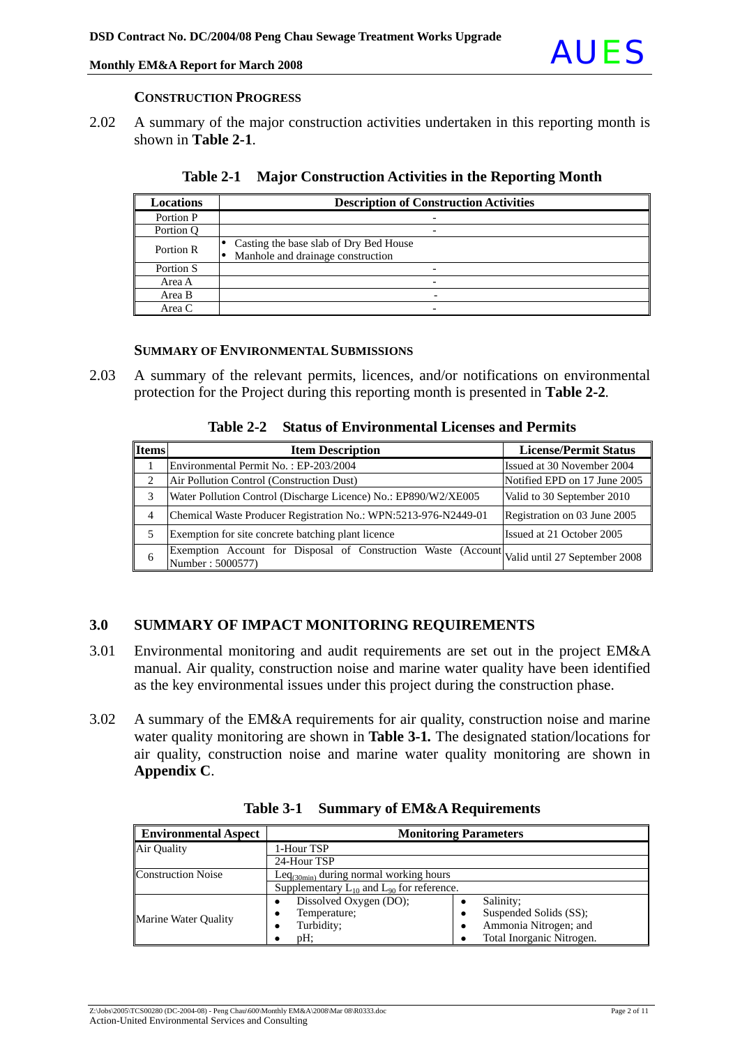## Monthly EM&A Report for March 2008

#### **CONSTRUCTION PROGRESS**

2.02 A summary of the major construction activities undertaken in this reporting month is shown in **Table 2-1**.

| <b>Locations</b> | <b>Description of Construction Activities</b>                               |
|------------------|-----------------------------------------------------------------------------|
| Portion P        |                                                                             |
| Portion O        |                                                                             |
| Portion R        | Casting the base slab of Dry Bed House<br>Manhole and drainage construction |
| Portion S        |                                                                             |
| Area A           | -                                                                           |
| Area B           |                                                                             |
| Area C           | $\overline{\phantom{0}}$                                                    |

**Table 2-1 Major Construction Activities in the Reporting Month** 

### **SUMMARY OF ENVIRONMENTAL SUBMISSIONS**

2.03 A summary of the relevant permits, licences, and/or notifications on environmental protection for the Project during this reporting month is presented in **Table 2-2***.* 

**Table 2-2 Status of Environmental Licenses and Permits** 

| <b>Items</b> | <b>Item Description</b>                                                                                         | <b>License/Permit Status</b> |
|--------------|-----------------------------------------------------------------------------------------------------------------|------------------------------|
|              | Environmental Permit No.: EP-203/2004                                                                           | Issued at 30 November 2004   |
| 2            | Air Pollution Control (Construction Dust)                                                                       | Notified EPD on 17 June 2005 |
| 3            | Water Pollution Control (Discharge Licence) No.: EP890/W2/XE005                                                 | Valid to 30 September 2010   |
| 4            | Chemical Waste Producer Registration No.: WPN:5213-976-N2449-01                                                 | Registration on 03 June 2005 |
| 5            | Exemption for site concrete batching plant licence                                                              | Issued at 21 October 2005    |
| 6            | Exemption Account for Disposal of Construction Waste (Account Valid until 27 September 2008<br>Number: 5000577) |                              |

### **3.0 SUMMARY OF IMPACT MONITORING REQUIREMENTS**

- 3.01 Environmental monitoring and audit requirements are set out in the project EM&A manual. Air quality, construction noise and marine water quality have been identified as the key environmental issues under this project during the construction phase.
- 3.02 A summary of the EM&A requirements for air quality, construction noise and marine water quality monitoring are shown in **Table 3-1***.* The designated station/locations for air quality, construction noise and marine water quality monitoring are shown in **Appendix C**.

| <b>Environmental Aspect</b> | <b>Monitoring Parameters</b>                       |                           |  |
|-----------------------------|----------------------------------------------------|---------------------------|--|
| Air Quality                 | 1-Hour TSP                                         |                           |  |
|                             | 24-Hour TSP                                        |                           |  |
| <b>Construction Noise</b>   | Le $q_{(30min)}$ during normal working hours       |                           |  |
|                             | Supplementary $L_{10}$ and $L_{90}$ for reference. |                           |  |
|                             | Dissolved Oxygen (DO);                             | Salinity;                 |  |
| Marine Water Quality        | Temperature;                                       | Suspended Solids (SS);    |  |
|                             | Turbidity;<br>٠                                    | Ammonia Nitrogen; and     |  |
|                             | pH:                                                | Total Inorganic Nitrogen. |  |

**Table 3-1 Summary of EM&A Requirements**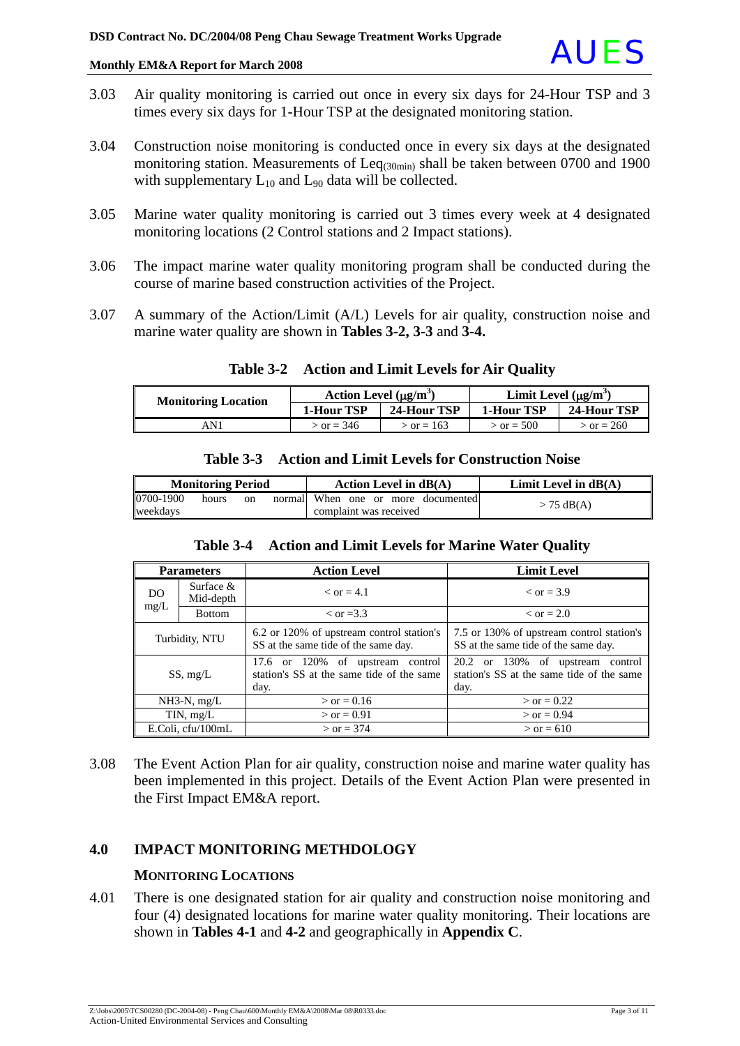

- 3.03 Air quality monitoring is carried out once in every six days for 24-Hour TSP and 3 times every six days for 1-Hour TSP at the designated monitoring station.
- 3.04 Construction noise monitoring is conducted once in every six days at the designated monitoring station. Measurements of Leq<sub>(30min)</sub> shall be taken between 0700 and 1900 with supplementary  $L_{10}$  and  $L_{90}$  data will be collected.
- 3.05 Marine water quality monitoring is carried out 3 times every week at 4 designated monitoring locations (2 Control stations and 2 Impact stations).
- 3.06 The impact marine water quality monitoring program shall be conducted during the course of marine based construction activities of the Project.
- 3.07 A summary of the Action/Limit (A/L) Levels for air quality, construction noise and marine water quality are shown in **Tables 3-2, 3-3** and **3-4.**

| <b>Monitoring Location</b> | Action Level $(\mu g/m^3)$ |              | Limit Level $(\mu g/m^3)$ |              |
|----------------------------|----------------------------|--------------|---------------------------|--------------|
|                            | 1-Hour TSP                 | 24-Hour TSP  | 1-Hour TSP                | 24-Hour TSP  |
| AN 1                       | $\sigma = 346$             | $>$ or = 163 | $>$ or = 500              | $>$ or = 260 |

#### **Table 3-2 Action and Limit Levels for Air Quality**

| <b>Monitoring Period</b> |       | Action Level in $dB(A)$ | Limit Level in $dB(A)$                                       |              |
|--------------------------|-------|-------------------------|--------------------------------------------------------------|--------------|
| 0700-1900<br>weekdavs    | hours | on                      | normal When one or more documented<br>complaint was received | $> 75$ dB(A) |

**Table 3-3 Action and Limit Levels for Construction Noise**

#### **Table 3-4 Action and Limit Levels for Marine Water Quality**

| <b>Parameters</b> |                                                 | <b>Action Level</b>                                                                                                                                                    | <b>Limit Level</b>                                                                       |
|-------------------|-------------------------------------------------|------------------------------------------------------------------------------------------------------------------------------------------------------------------------|------------------------------------------------------------------------------------------|
| DO.               | Surface $&$<br>$\epsilon$ or = 4.1<br>Mid-depth |                                                                                                                                                                        | $\epsilon$ or = 3.9                                                                      |
| mg/L              | <b>Bottom</b>                                   | $\rm <$ or =3.3                                                                                                                                                        | $\epsilon$ or = 2.0                                                                      |
| Turbidity, NTU    |                                                 | 6.2 or 120% of upstream control station's<br>7.5 or 130% of upstream control station's<br>SS at the same tide of the same day.<br>SS at the same tide of the same day. |                                                                                          |
| SS, mg/L          |                                                 | 17.6 or 120% of upstream control<br>station's SS at the same tide of the same<br>day.                                                                                  | 20.2<br>or 130% of upstream control<br>station's SS at the same tide of the same<br>day. |
| $NH3-N$ , mg/L    |                                                 | $>$ or = 0.16                                                                                                                                                          | $>$ or = 0.22                                                                            |
| TIN, mg/L         |                                                 | $>$ or = 0.91                                                                                                                                                          | $>$ or = 0.94                                                                            |
| E.Coli, cfu/100mL |                                                 | $>$ or = 374                                                                                                                                                           | $>$ or = 610                                                                             |

3.08 The Event Action Plan for air quality, construction noise and marine water quality has been implemented in this project. Details of the Event Action Plan were presented in the First Impact EM&A report.

### **4.0 IMPACT MONITORING METHDOLOGY**

#### **MONITORING LOCATIONS**

4.01 There is one designated station for air quality and construction noise monitoring and four (4) designated locations for marine water quality monitoring. Their locations are shown in **Tables 4-1** and **4-2** and geographically in **Appendix C**.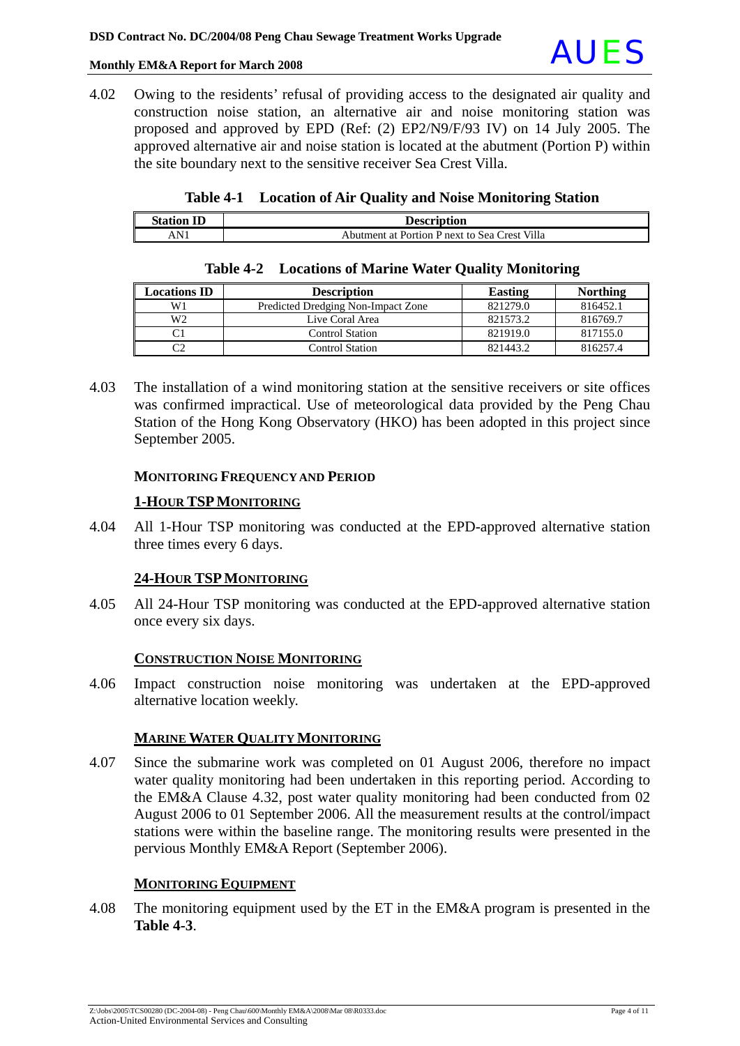

4.02 Owing to the residents' refusal of providing access to the designated air quality and construction noise station, an alternative air and noise monitoring station was proposed and approved by EPD (Ref: (2) EP2/N9/F/93 IV) on 14 July 2005. The approved alternative air and noise station is located at the abutment (Portion P) within the site boundary next to the sensitive receiver Sea Crest Villa.

|  |  |  | Table 4-1 Location of Air Quality and Noise Monitoring Station |
|--|--|--|----------------------------------------------------------------|
|--|--|--|----------------------------------------------------------------|

| <b>Station ID</b> | <b>Description</b>                            |
|-------------------|-----------------------------------------------|
| AN <sup>1</sup>   | Abutment at Portion P next to Sea Crest Villa |

| <b>Locations ID</b> | <b>Description</b>                 | <b>Easting</b> | <b>Northing</b> |
|---------------------|------------------------------------|----------------|-----------------|
| W1                  | Predicted Dredging Non-Impact Zone | 821279.0       | 816452.1        |
| W <sub>2</sub>      | Live Coral Area                    | 821573.2       | 816769.7        |
|                     | Control Station                    | 821919.0       | 817155.0        |
| r٦                  | <b>Control Station</b>             | 821443.2       | 816257.4        |

#### **Table 4-2 Locations of Marine Water Quality Monitoring**

4.03 The installation of a wind monitoring station at the sensitive receivers or site offices was confirmed impractical. Use of meteorological data provided by the Peng Chau Station of the Hong Kong Observatory (HKO) has been adopted in this project since September 2005.

#### **MONITORING FREQUENCY AND PERIOD**

#### **1-HOUR TSPMONITORING**

4.04 All 1-Hour TSP monitoring was conducted at the EPD-approved alternative station three times every 6 days.

#### **24-HOUR TSPMONITORING**

4.05 All 24-Hour TSP monitoring was conducted at the EPD-approved alternative station once every six days.

#### **CONSTRUCTION NOISE MONITORING**

4.06 Impact construction noise monitoring was undertaken at the EPD-approved alternative location weekly.

#### **MARINE WATER QUALITY MONITORING**

4.07 Since the submarine work was completed on 01 August 2006, therefore no impact water quality monitoring had been undertaken in this reporting period. According to the EM&A Clause 4.32, post water quality monitoring had been conducted from 02 August 2006 to 01 September 2006. All the measurement results at the control/impact stations were within the baseline range. The monitoring results were presented in the pervious Monthly EM&A Report (September 2006).

#### **MONITORING EQUIPMENT**

4.08 The monitoring equipment used by the ET in the EM&A program is presented in the **Table 4-3**.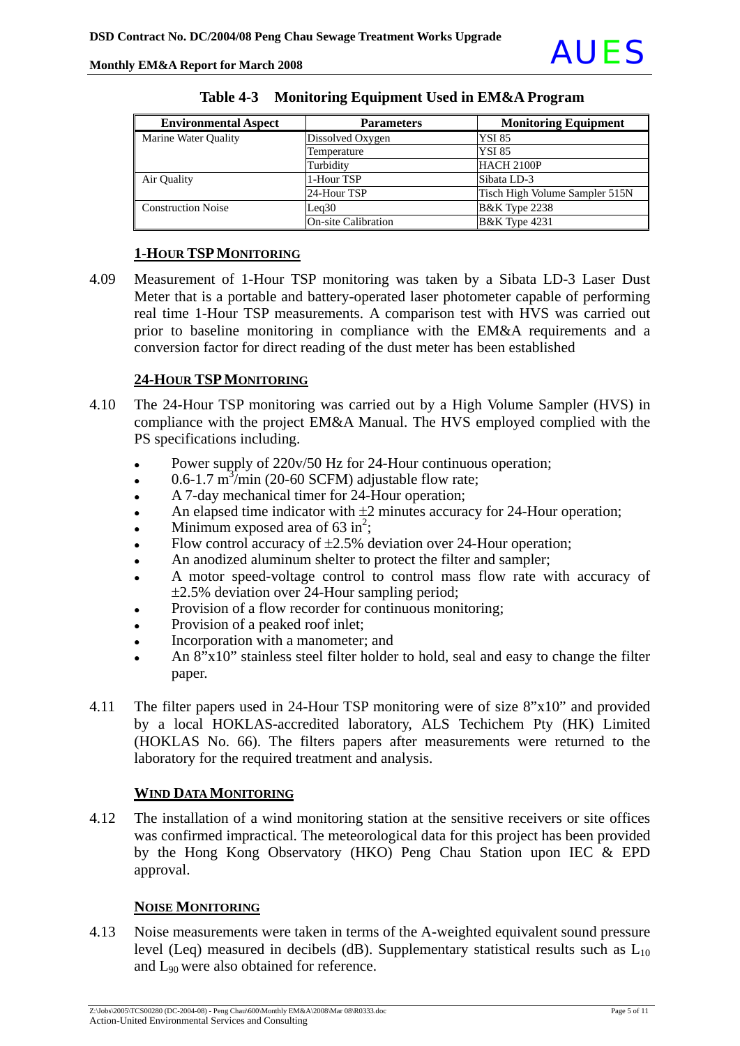

| <b>Environmental Aspect</b> | <b>Parameters</b>          | <b>Monitoring Equipment</b>    |
|-----------------------------|----------------------------|--------------------------------|
| Marine Water Quality        | Dissolved Oxygen           | <b>YSI 85</b>                  |
|                             | Temperature                | <b>YSI 85</b>                  |
|                             | Turbidity                  | HACH 2100P                     |
| Air Quality                 | 1-Hour TSP                 | Sibata LD-3                    |
|                             | 24-Hour TSP                | Tisch High Volume Sampler 515N |
| <b>Construction Noise</b>   | Leq30                      | <b>B&amp;K</b> Type 2238       |
|                             | <b>On-site Calibration</b> | <b>B&amp;K</b> Type 4231       |

#### **Table 4-3 Monitoring Equipment Used in EM&A Program**

### **1-HOUR TSPMONITORING**

4.09 Measurement of 1-Hour TSP monitoring was taken by a Sibata LD-3 Laser Dust Meter that is a portable and battery-operated laser photometer capable of performing real time 1-Hour TSP measurements. A comparison test with HVS was carried out prior to baseline monitoring in compliance with the EM&A requirements and a conversion factor for direct reading of the dust meter has been established

### **24-HOUR TSPMONITORING**

- 4.10 The 24-Hour TSP monitoring was carried out by a High Volume Sampler (HVS) in compliance with the project EM&A Manual. The HVS employed complied with the PS specifications including.
	- Power supply of 220v/50 Hz for 24-Hour continuous operation:
	- $\cdot$  0.6-1.7 m<sup>3</sup>/min (20-60 SCFM) adjustable flow rate;
	- A 7-day mechanical timer for 24-Hour operation;
	- An elapsed time indicator with  $\pm 2$  minutes accuracy for 24-Hour operation;
	- Minimum exposed area of  $63 \text{ in}^2$ ;
	- Flow control accuracy of  $\pm 2.5$ % deviation over 24-Hour operation;
	- An anodized aluminum shelter to protect the filter and sampler;
	- A motor speed-voltage control to control mass flow rate with accuracy of ±2.5% deviation over 24-Hour sampling period;
	- Provision of a flow recorder for continuous monitoring:
	- Provision of a peaked roof inlet;
	- Incorporation with a manometer; and
	- An  $8"x10"$  stainless steel filter holder to hold, seal and easy to change the filter paper.
- 4.11 The filter papers used in 24-Hour TSP monitoring were of size 8"x10" and provided by a local HOKLAS-accredited laboratory, ALS Techichem Pty (HK) Limited (HOKLAS No. 66). The filters papers after measurements were returned to the laboratory for the required treatment and analysis.

### **WIND DATA MONITORING**

4.12 The installation of a wind monitoring station at the sensitive receivers or site offices was confirmed impractical. The meteorological data for this project has been provided by the Hong Kong Observatory (HKO) Peng Chau Station upon IEC & EPD approval.

### **NOISE MONITORING**

4.13 Noise measurements were taken in terms of the A-weighted equivalent sound pressure level (Leq) measured in decibels (dB). Supplementary statistical results such as  $L_{10}$ and L90 were also obtained for reference.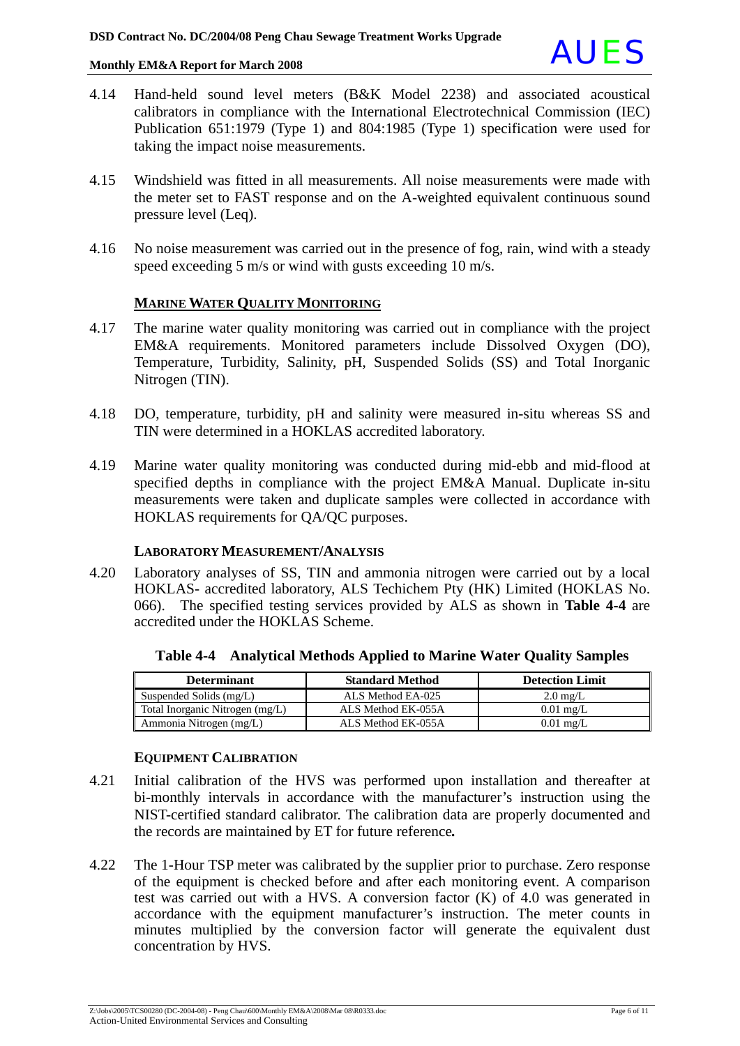

- 4.14 Hand-held sound level meters (B&K Model 2238) and associated acoustical calibrators in compliance with the International Electrotechnical Commission (IEC) Publication 651:1979 (Type 1) and 804:1985 (Type 1) specification were used for taking the impact noise measurements.
- 4.15 Windshield was fitted in all measurements. All noise measurements were made with the meter set to FAST response and on the A-weighted equivalent continuous sound pressure level (Leq).
- 4.16 No noise measurement was carried out in the presence of fog, rain, wind with a steady speed exceeding 5 m/s or wind with gusts exceeding 10 m/s.

#### **MARINE WATER QUALITY MONITORING**

- 4.17 The marine water quality monitoring was carried out in compliance with the project EM&A requirements. Monitored parameters include Dissolved Oxygen (DO), Temperature, Turbidity, Salinity, pH, Suspended Solids (SS) and Total Inorganic Nitrogen (TIN).
- 4.18 DO, temperature, turbidity, pH and salinity were measured in-situ whereas SS and TIN were determined in a HOKLAS accredited laboratory.
- 4.19 Marine water quality monitoring was conducted during mid-ebb and mid-flood at specified depths in compliance with the project EM&A Manual. Duplicate in-situ measurements were taken and duplicate samples were collected in accordance with HOKLAS requirements for QA/QC purposes.

#### **LABORATORY MEASUREMENT/ANALYSIS**

4.20 Laboratory analyses of SS, TIN and ammonia nitrogen were carried out by a local HOKLAS- accredited laboratory, ALS Techichem Pty (HK) Limited (HOKLAS No. 066). The specified testing services provided by ALS as shown in **Table 4-4** are accredited under the HOKLAS Scheme.

| <b>Determinant</b>              | <b>Standard Method</b> | <b>Detection Limit</b> |
|---------------------------------|------------------------|------------------------|
| Suspended Solids (mg/L)         | ALS Method EA-025      | $2.0 \text{ mg/L}$     |
| Total Inorganic Nitrogen (mg/L) | ALS Method EK-055A     | $0.01 \text{ mg/L}$    |
| Ammonia Nitrogen (mg/L)         | ALS Method EK-055A     | $0.01$ mg/L            |

**Table 4-4 Analytical Methods Applied to Marine Water Quality Samples**

#### **EQUIPMENT CALIBRATION**

- 4.21 Initial calibration of the HVS was performed upon installation and thereafter at bi-monthly intervals in accordance with the manufacturer's instruction using the NIST-certified standard calibrator. The calibration data are properly documented and the records are maintained by ET for future reference*.*
- 4.22 The 1-Hour TSP meter was calibrated by the supplier prior to purchase. Zero response of the equipment is checked before and after each monitoring event. A comparison test was carried out with a HVS. A conversion factor (K) of 4.0 was generated in accordance with the equipment manufacturer's instruction. The meter counts in minutes multiplied by the conversion factor will generate the equivalent dust concentration by HVS.

Z:\Jobs\2005\TCS00280 (DC-2004-08) - Peng Chau\600\Monthly EM&A\2008\Mar 08\R0333.doc Page 6 of 11 Action-United Environmental Services and Consulting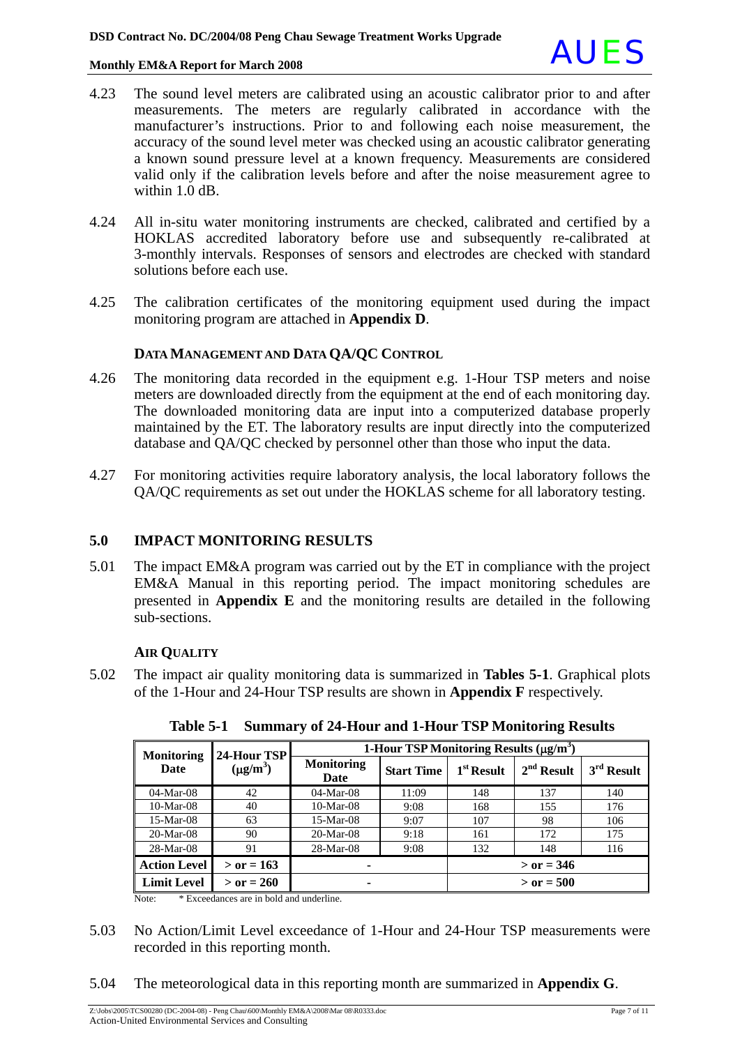

- 4.23 The sound level meters are calibrated using an acoustic calibrator prior to and after measurements. The meters are regularly calibrated in accordance with the manufacturer's instructions. Prior to and following each noise measurement, the accuracy of the sound level meter was checked using an acoustic calibrator generating a known sound pressure level at a known frequency. Measurements are considered valid only if the calibration levels before and after the noise measurement agree to within 1.0 dB.
- 4.24 All in-situ water monitoring instruments are checked, calibrated and certified by a HOKLAS accredited laboratory before use and subsequently re-calibrated at 3-monthly intervals. Responses of sensors and electrodes are checked with standard solutions before each use.
- 4.25 The calibration certificates of the monitoring equipment used during the impact monitoring program are attached in **Appendix D**.

#### **DATA MANAGEMENT AND DATA QA/QC CONTROL**

- 4.26 The monitoring data recorded in the equipment e.g. 1-Hour TSP meters and noise meters are downloaded directly from the equipment at the end of each monitoring day. The downloaded monitoring data are input into a computerized database properly maintained by the ET. The laboratory results are input directly into the computerized database and QA/QC checked by personnel other than those who input the data.
- 4.27 For monitoring activities require laboratory analysis, the local laboratory follows the QA/QC requirements as set out under the HOKLAS scheme for all laboratory testing.

### **5.0 IMPACT MONITORING RESULTS**

5.01 The impact EM&A program was carried out by the ET in compliance with the project EM&A Manual in this reporting period. The impact monitoring schedules are presented in **Appendix E** and the monitoring results are detailed in the following sub-sections.

#### **AIR QUALITY**

5.02 The impact air quality monitoring data is summarized in **Tables 5-1**. Graphical plots of the 1-Hour and 24-Hour TSP results are shown in **Appendix F** respectively.

| <b>Monitoring</b><br>Date | 24-Hour TSP<br>$(\mu g/m^3)$ | 1-Hour TSP Monitoring Results $(\mu g/m^3)$ |                   |              |              |              |
|---------------------------|------------------------------|---------------------------------------------|-------------------|--------------|--------------|--------------|
|                           |                              | <b>Monitoring</b><br>Date                   | <b>Start Time</b> | $1st$ Result | $2nd$ Result | $3rd$ Result |
| $04-Mar-08$               | 42                           | $04-Mar-08$                                 | 11:09             | 148          | 137          | 140          |
| $10-Mar-08$               | 40                           | $10-Mar-08$                                 | 9:08              | 168          | 155          | 176          |
| $15-Mar-08$               | 63                           | $15-Mar-08$                                 | 9:07              | 107          | 98           | 106          |
| $20-Mar-08$               | 90                           | $20-Mar-08$                                 | 9:18              | 161          | 172          | 175          |
| $28-Mar-08$               | 91                           | 28-Mar-08                                   | 9:08              | 132          | 148          | 116          |
| <b>Action Level</b>       | $>$ or = 163                 |                                             |                   | $>$ or = 346 |              |              |
| <b>Limit Level</b>        | $>$ or = 260                 | ۰                                           |                   |              | $>$ or = 500 |              |

**Table 5-1 Summary of 24-Hour and 1-Hour TSP Monitoring Results** 

Note: \* Exceedances are in bold and underline.

- 5.03 No Action/Limit Level exceedance of 1-Hour and 24-Hour TSP measurements were recorded in this reporting month.
- 5.04 The meteorological data in this reporting month are summarized in **Appendix G**.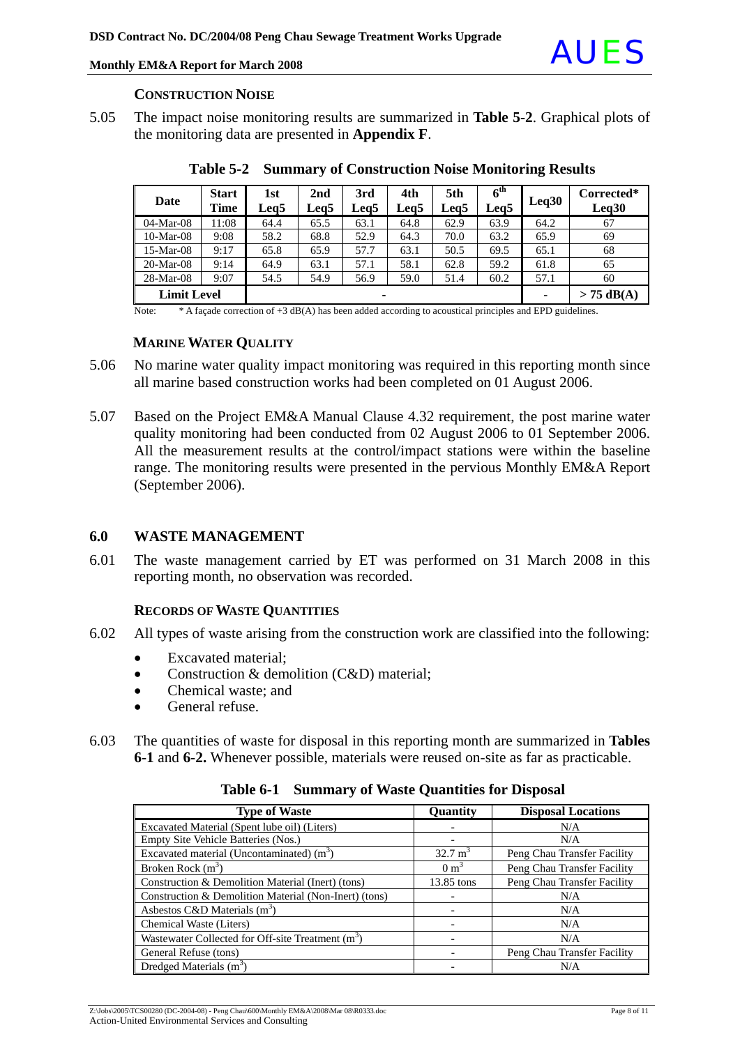

#### **CONSTRUCTION NOISE**

5.05 The impact noise monitoring results are summarized in **Table 5-2**. Graphical plots of the monitoring data are presented in **Appendix F**.

| Date                    | <b>Start</b><br><b>Time</b> | 1st<br>Leg5 | 2 <sub>nd</sub><br>Leg5 | 3rd<br>Leg5  | 4th<br>Leg5 | 5th<br>Leq5 | $6^{\rm th}$<br>Leg5 | Leq30 | Corrected*<br>Leq30 |
|-------------------------|-----------------------------|-------------|-------------------------|--------------|-------------|-------------|----------------------|-------|---------------------|
| $04-Mar-08$             | 11:08                       | 64.4        | 65.5                    | 63.1         | 64.8        | 62.9        | 63.9                 | 64.2  | 67                  |
| $10-Mar-08$             | 9:08                        | 58.2        | 68.8                    | 52.9         | 64.3        | 70.0        | 63.2                 | 65.9  | 69                  |
| $15-Mar-08$             | 9:17                        | 65.8        | 65.9                    | 57.7         | 63.1        | 50.5        | 69.5                 | 65.1  | 68                  |
| $20-Mar-08$             | 9:14                        | 64.9        | 63.1                    | 57.1         | 58.1        | 62.8        | 59.2                 | 61.8  | 65                  |
| $28-Mar-08$             | 9:07                        | 54.5        | 54.9                    | 56.9         | 59.0        | 51.4        | 60.2                 | 57.1  | 60                  |
| <b>Limit Level</b><br>۰ |                             |             |                         | $> 75$ dB(A) |             |             |                      |       |                     |

**Table 5-2 Summary of Construction Noise Monitoring Results** 

Note: \* A facade correction of +3 dB(A) has been added according to acoustical principles and EPD guidelines.

#### **MARINE WATER QUALITY**

- 5.06 No marine water quality impact monitoring was required in this reporting month since all marine based construction works had been completed on 01 August 2006.
- 5.07 Based on the Project EM&A Manual Clause 4.32 requirement, the post marine water quality monitoring had been conducted from 02 August 2006 to 01 September 2006. All the measurement results at the control/impact stations were within the baseline range. The monitoring results were presented in the pervious Monthly EM&A Report (September 2006).

#### **6.0 WASTE MANAGEMENT**

6.01 The waste management carried by ET was performed on 31 March 2008 in this reporting month, no observation was recorded.

#### **RECORDS OF WASTE QUANTITIES**

- 6.02 All types of waste arising from the construction work are classified into the following:
	- Excavated material;
	- Construction & demolition (C&D) material;
	- Chemical waste; and
	- General refuse.
- 6.03 The quantities of waste for disposal in this reporting month are summarized in **Tables 6-1** and **6-2.** Whenever possible, materials were reused on-site as far as practicable.

| <b>Type of Waste</b>                                          | Quantity           | <b>Disposal Locations</b>   |
|---------------------------------------------------------------|--------------------|-----------------------------|
| Excavated Material (Spent lube oil) (Liters)                  |                    | N/A                         |
| Empty Site Vehicle Batteries (Nos.)                           |                    | N/A                         |
| Excavated material (Uncontaminated) $(m3)$                    | $32.7 \text{ m}^3$ | Peng Chau Transfer Facility |
| Broken Rock $(m^3)$                                           | $0 \text{ m}^3$    | Peng Chau Transfer Facility |
| Construction & Demolition Material (Inert) (tons)             | 13.85 tons         | Peng Chau Transfer Facility |
| Construction & Demolition Material (Non-Inert) (tons)         |                    | N/A                         |
| Asbestos C&D Materials $(m3)$                                 |                    | N/A                         |
| Chemical Waste (Liters)                                       |                    | N/A                         |
| Wastewater Collected for Off-site Treatment (m <sup>3</sup> ) |                    | N/A                         |
| General Refuse (tons)                                         |                    | Peng Chau Transfer Facility |
| Dredged Materials $(m3)$                                      |                    | N/A                         |

**Table 6-1 Summary of Waste Quantities for Disposal**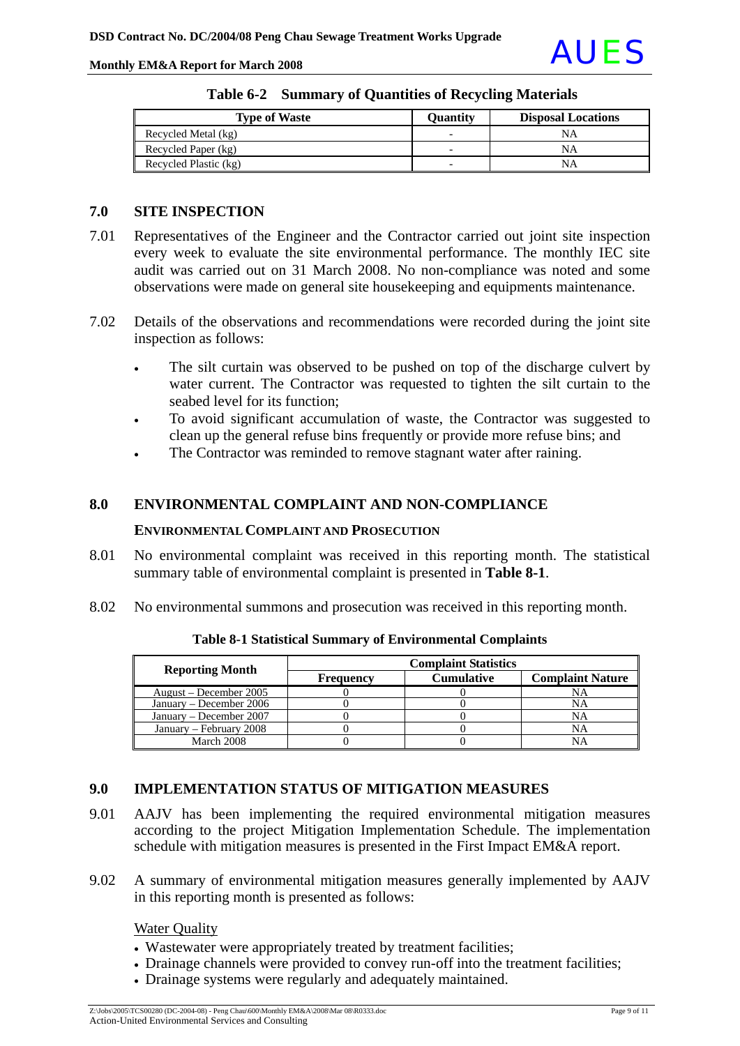Monthly EM&A Report for March 2008

| <b>Type of Waste</b>  | <b>Ouantity</b>          | <b>Disposal Locations</b> |
|-----------------------|--------------------------|---------------------------|
| Recycled Metal (kg)   | $\overline{\phantom{0}}$ | NΑ                        |
| Recycled Paper (kg)   | $\overline{\phantom{0}}$ | NΑ                        |
| Recycled Plastic (kg) | $\overline{\phantom{0}}$ |                           |

#### **Table 6-2 Summary of Quantities of Recycling Materials**

### **7.0 SITE INSPECTION**

- 7.01 Representatives of the Engineer and the Contractor carried out joint site inspection every week to evaluate the site environmental performance. The monthly IEC site audit was carried out on 31 March 2008. No non-compliance was noted and some observations were made on general site housekeeping and equipments maintenance.
- 7.02 Details of the observations and recommendations were recorded during the joint site inspection as follows:
	- The silt curtain was observed to be pushed on top of the discharge culvert by water current. The Contractor was requested to tighten the silt curtain to the seabed level for its function;
	- To avoid significant accumulation of waste, the Contractor was suggested to clean up the general refuse bins frequently or provide more refuse bins; and
	- The Contractor was reminded to remove stagnant water after raining.

#### **8.0 ENVIRONMENTAL COMPLAINT AND NON-COMPLIANCE**

#### **ENVIRONMENTAL COMPLAINT AND PROSECUTION**

- 8.01 No environmental complaint was received in this reporting month. The statistical summary table of environmental complaint is presented in **Table 8-1**.
- 8.02 No environmental summons and prosecution was received in this reporting month.

| <b>Reporting Month</b>  | <b>Complaint Statistics</b> |                   |                         |  |  |
|-------------------------|-----------------------------|-------------------|-------------------------|--|--|
|                         | Frequency                   | <b>Cumulative</b> | <b>Complaint Nature</b> |  |  |
| August – December 2005  |                             |                   | NА                      |  |  |
| January – December 2006 |                             |                   |                         |  |  |
| January – December 2007 |                             |                   | NA                      |  |  |
| January – February 2008 |                             |                   | NA                      |  |  |
| March 2008              |                             |                   |                         |  |  |

**Table 8-1 Statistical Summary of Environmental Complaints** 

### **9.0 IMPLEMENTATION STATUS OF MITIGATION MEASURES**

- 9.01 AAJV has been implementing the required environmental mitigation measures according to the project Mitigation Implementation Schedule. The implementation schedule with mitigation measures is presented in the First Impact EM&A report.
- 9.02 A summary of environmental mitigation measures generally implemented by AAJV in this reporting month is presented as follows:

Water Quality

- Wastewater were appropriately treated by treatment facilities;
- Drainage channels were provided to convey run-off into the treatment facilities;
- Drainage systems were regularly and adequately maintained.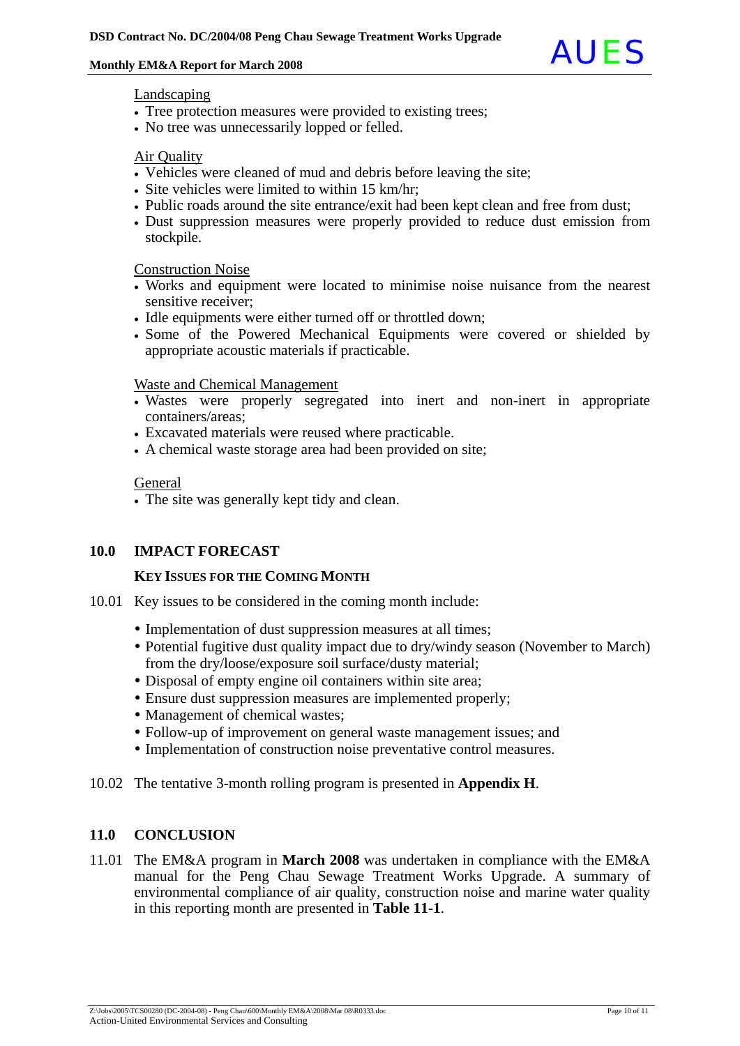

#### Landscaping

- Tree protection measures were provided to existing trees;
- No tree was unnecessarily lopped or felled.

#### Air Quality

- Vehicles were cleaned of mud and debris before leaving the site;
- Site vehicles were limited to within 15 km/hr;
- Public roads around the site entrance/exit had been kept clean and free from dust;
- Dust suppression measures were properly provided to reduce dust emission from stockpile.

#### Construction Noise

- Works and equipment were located to minimise noise nuisance from the nearest sensitive receiver;
- Idle equipments were either turned off or throttled down;
- Some of the Powered Mechanical Equipments were covered or shielded by appropriate acoustic materials if practicable.

#### Waste and Chemical Management

- Wastes were properly segregated into inert and non-inert in appropriate containers/areas;
- Excavated materials were reused where practicable.
- A chemical waste storage area had been provided on site;

#### **General**

• The site was generally kept tidy and clean.

### **10.0 IMPACT FORECAST**

#### **KEY ISSUES FOR THE COMING MONTH**

- 10.01 Key issues to be considered in the coming month include:
	- Implementation of dust suppression measures at all times;
	- Potential fugitive dust quality impact due to dry/windy season (November to March) from the dry/loose/exposure soil surface/dusty material;
	- Disposal of empty engine oil containers within site area;
	- Ensure dust suppression measures are implemented properly;
	- Management of chemical wastes;
	- Follow-up of improvement on general waste management issues; and
	- Implementation of construction noise preventative control measures.
- 10.02 The tentative 3-month rolling program is presented in **Appendix H**.

### **11.0 CONCLUSION**

11.01 The EM&A program in **March 2008** was undertaken in compliance with the EM&A manual for the Peng Chau Sewage Treatment Works Upgrade. A summary of environmental compliance of air quality, construction noise and marine water quality in this reporting month are presented in **Table 11-1**.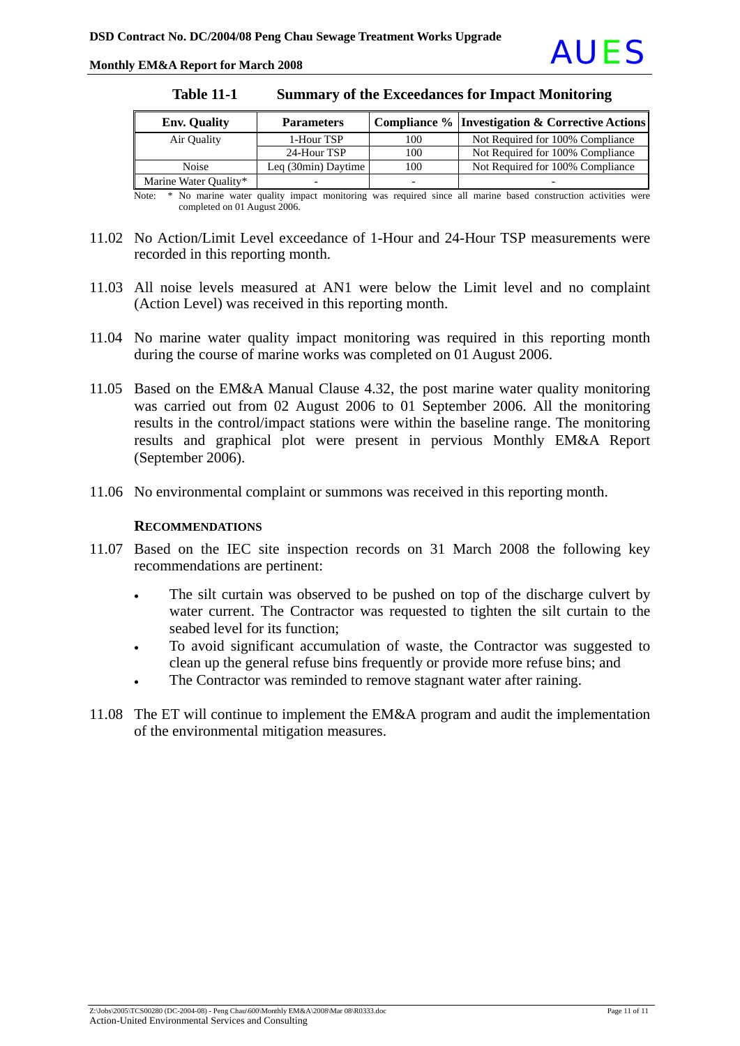Monthly EM&A Report for March 2008

| <b>Env. Quality</b>   | <b>Parameters</b>   |     | <b>Compliance % Investigation &amp; Corrective Actions</b> |
|-----------------------|---------------------|-----|------------------------------------------------------------|
| Air Quality           | 1-Hour TSP          | 100 | Not Required for 100% Compliance                           |
|                       | 24-Hour TSP         | 100 | Not Required for 100% Compliance                           |
| <b>Noise</b>          | Leq (30min) Daytime | 100 | Not Required for 100% Compliance                           |
| Marine Water Quality* |                     |     |                                                            |

**Table 11-1 Summary of the Exceedances for Impact Monitoring**

Note: \* No marine water quality impact monitoring was required since all marine based construction activities were completed on 01 August 2006.

- 11.02 No Action/Limit Level exceedance of 1-Hour and 24-Hour TSP measurements were recorded in this reporting month.
- 11.03 All noise levels measured at AN1 were below the Limit level and no complaint (Action Level) was received in this reporting month.
- 11.04 No marine water quality impact monitoring was required in this reporting month during the course of marine works was completed on 01 August 2006.
- 11.05 Based on the EM&A Manual Clause 4.32, the post marine water quality monitoring was carried out from 02 August 2006 to 01 September 2006. All the monitoring results in the control/impact stations were within the baseline range. The monitoring results and graphical plot were present in pervious Monthly EM&A Report (September 2006).
- 11.06 No environmental complaint or summons was received in this reporting month.

#### **RECOMMENDATIONS**

- 11.07 Based on the IEC site inspection records on 31 March 2008 the following key recommendations are pertinent:
	- The silt curtain was observed to be pushed on top of the discharge culvert by water current. The Contractor was requested to tighten the silt curtain to the seabed level for its function;
	- To avoid significant accumulation of waste, the Contractor was suggested to clean up the general refuse bins frequently or provide more refuse bins; and
	- The Contractor was reminded to remove stagnant water after raining.
- 11.08 The ET will continue to implement the EM&A program and audit the implementation of the environmental mitigation measures.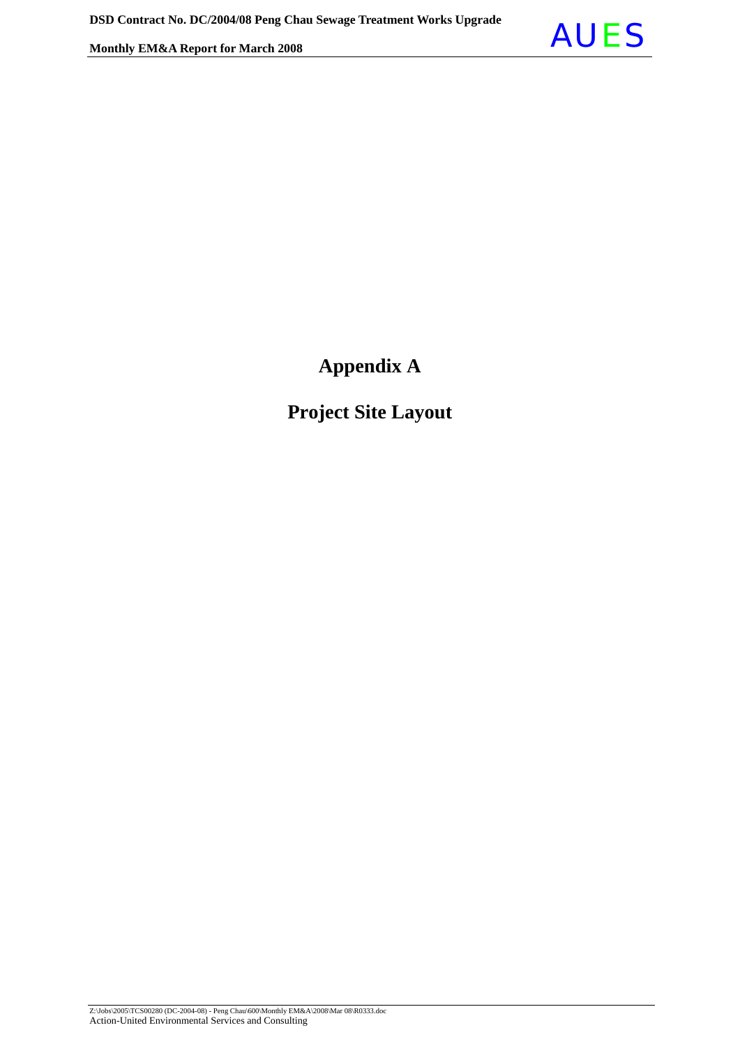

## **Appendix A**

## **Project Site Layout**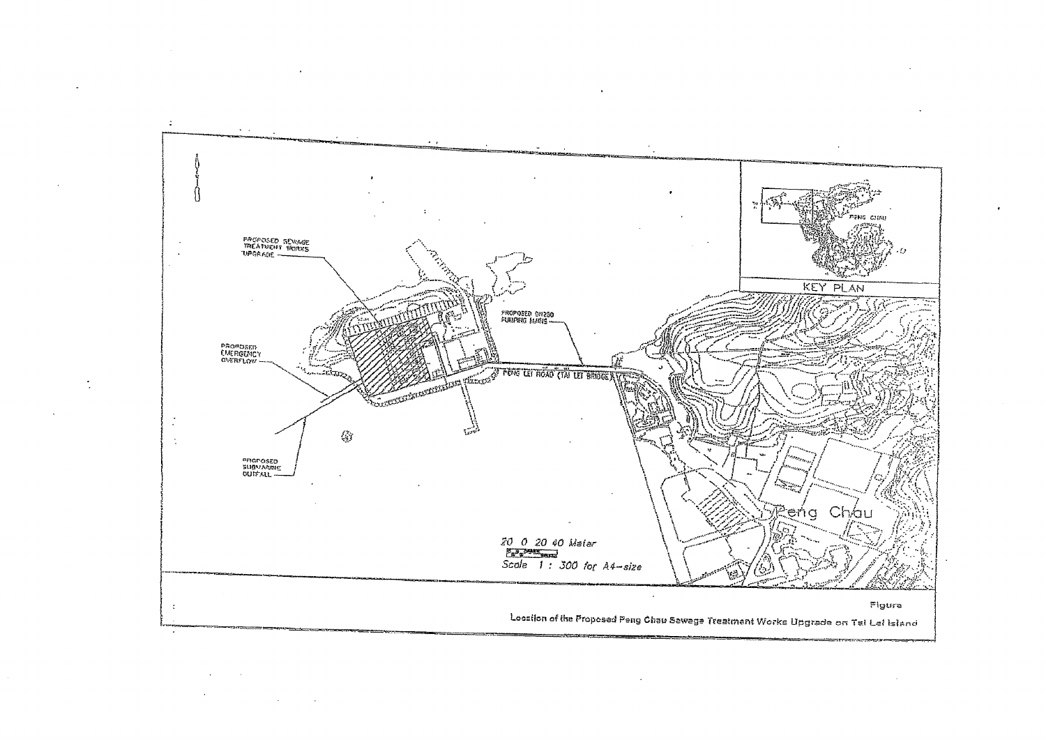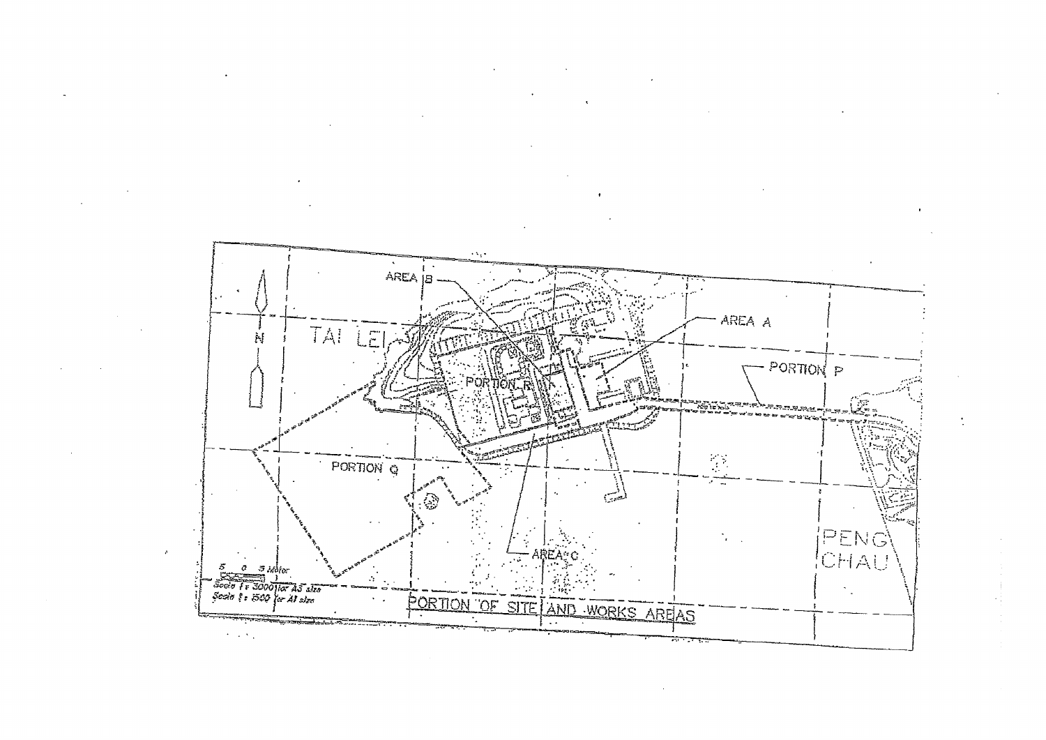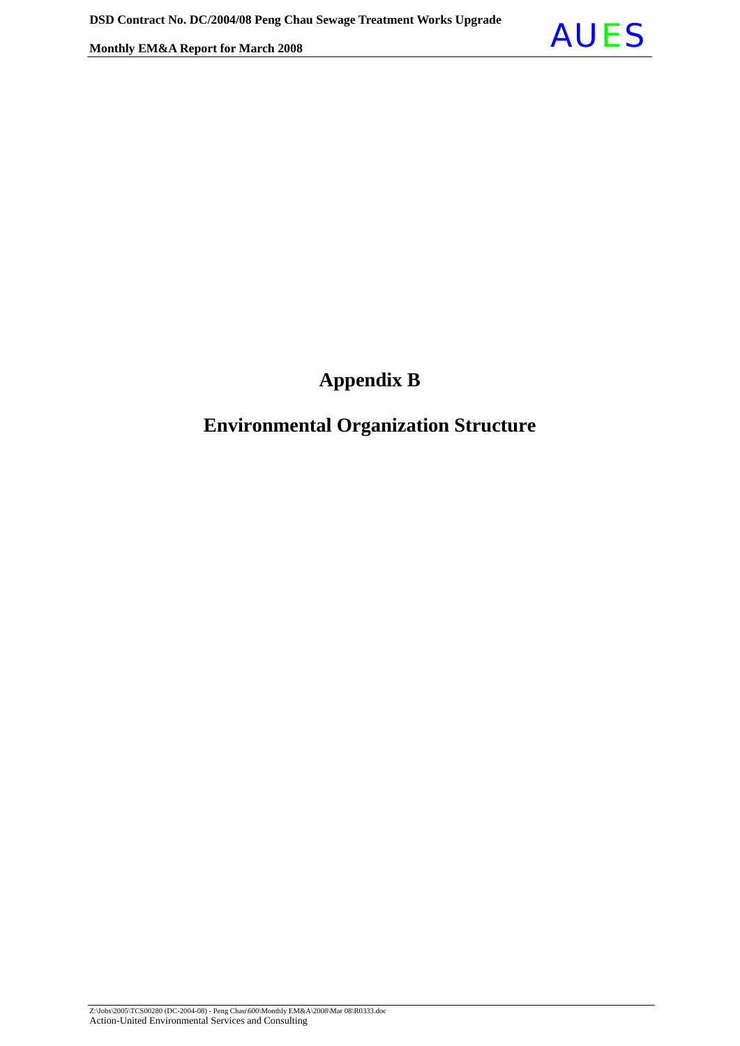

## **Appendix B**

## **Environmental Organization Structure**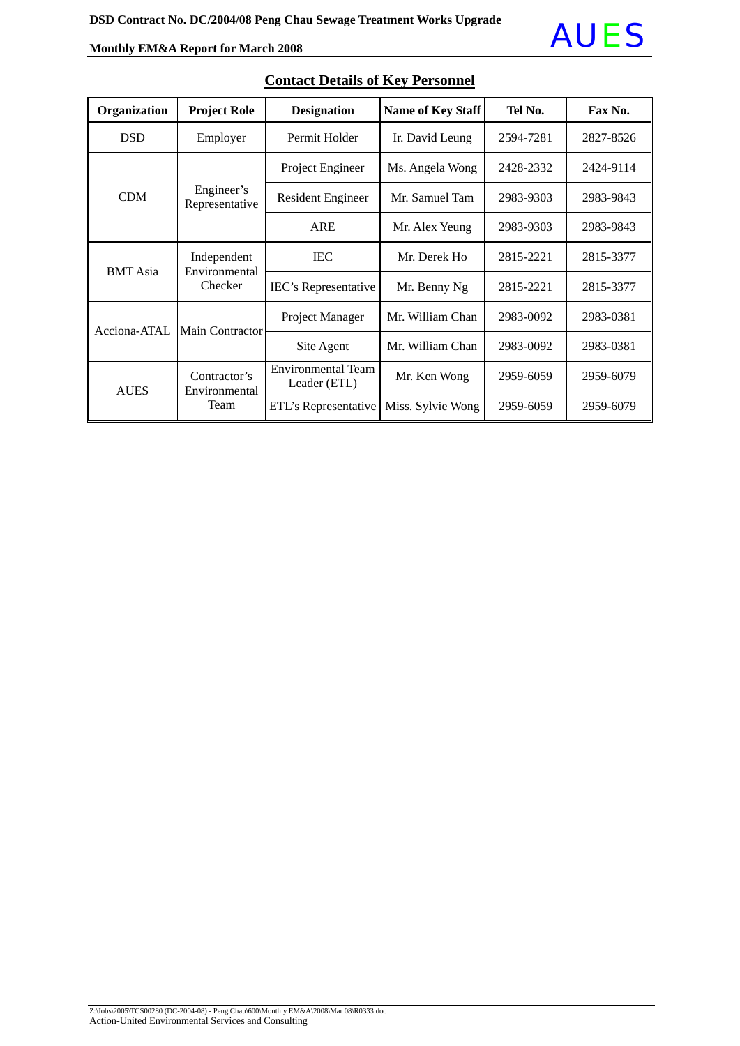

| Organization    | <b>Project Role</b>                     | <b>Designation</b>                 | <b>Name of Key Staff</b> | Tel No.   | Fax No.   |
|-----------------|-----------------------------------------|------------------------------------|--------------------------|-----------|-----------|
| <b>DSD</b>      | Employer                                | Permit Holder                      | Ir. David Leung          | 2594-7281 | 2827-8526 |
|                 |                                         | Project Engineer                   | Ms. Angela Wong          | 2428-2332 | 2424-9114 |
| <b>CDM</b>      | Engineer's<br>Representative            | <b>Resident Engineer</b>           | Mr. Samuel Tam           | 2983-9303 | 2983-9843 |
|                 |                                         | <b>ARE</b>                         | Mr. Alex Yeung           | 2983-9303 | 2983-9843 |
| <b>BMT</b> Asia | Independent<br>Environmental<br>Checker | <b>IEC</b>                         | Mr. Derek Ho             | 2815-2221 | 2815-3377 |
|                 |                                         | IEC's Representative               | Mr. Benny Ng             | 2815-2221 | 2815-3377 |
| Acciona-ATAL    | <b>Main Contractor</b>                  | Project Manager                    | Mr. William Chan         | 2983-0092 | 2983-0381 |
|                 |                                         | Site Agent                         | Mr. William Chan         | 2983-0092 | 2983-0381 |
| <b>AUES</b>     | Contractor's                            | Environmental Team<br>Leader (ETL) | Mr. Ken Wong             | 2959-6059 | 2959-6079 |
|                 | Environmental<br>Team                   | ETL's Representative               | Miss. Sylvie Wong        | 2959-6059 | 2959-6079 |

### **Contact Details of Key Personnel**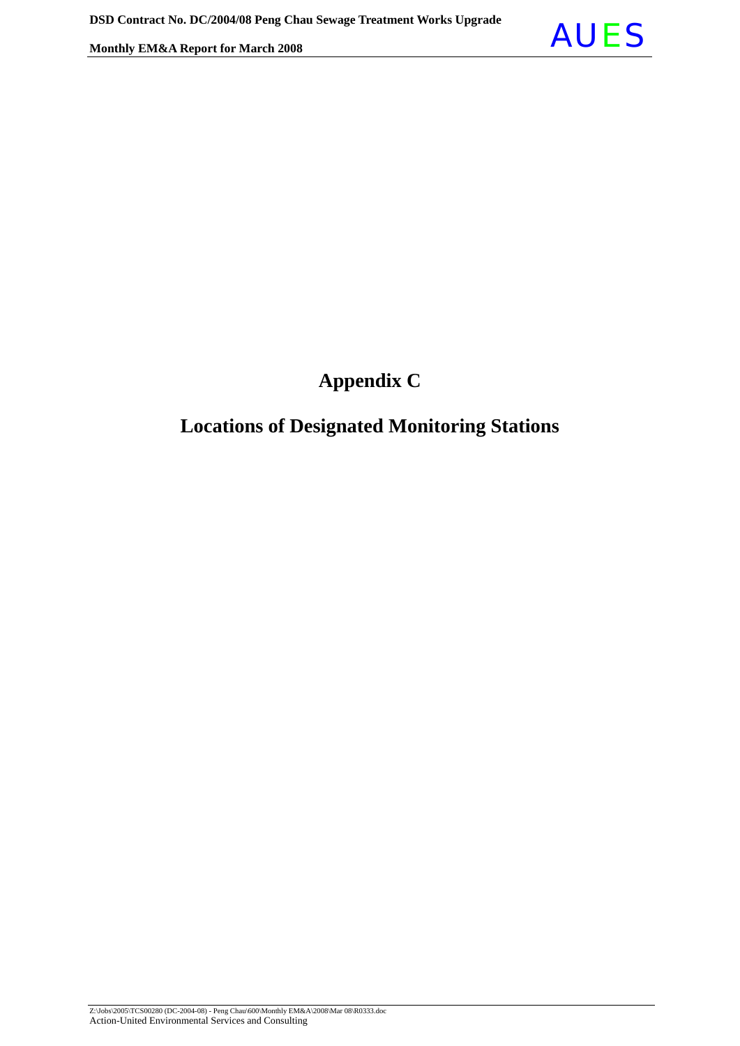

## **Appendix C**

## **Locations of Designated Monitoring Stations**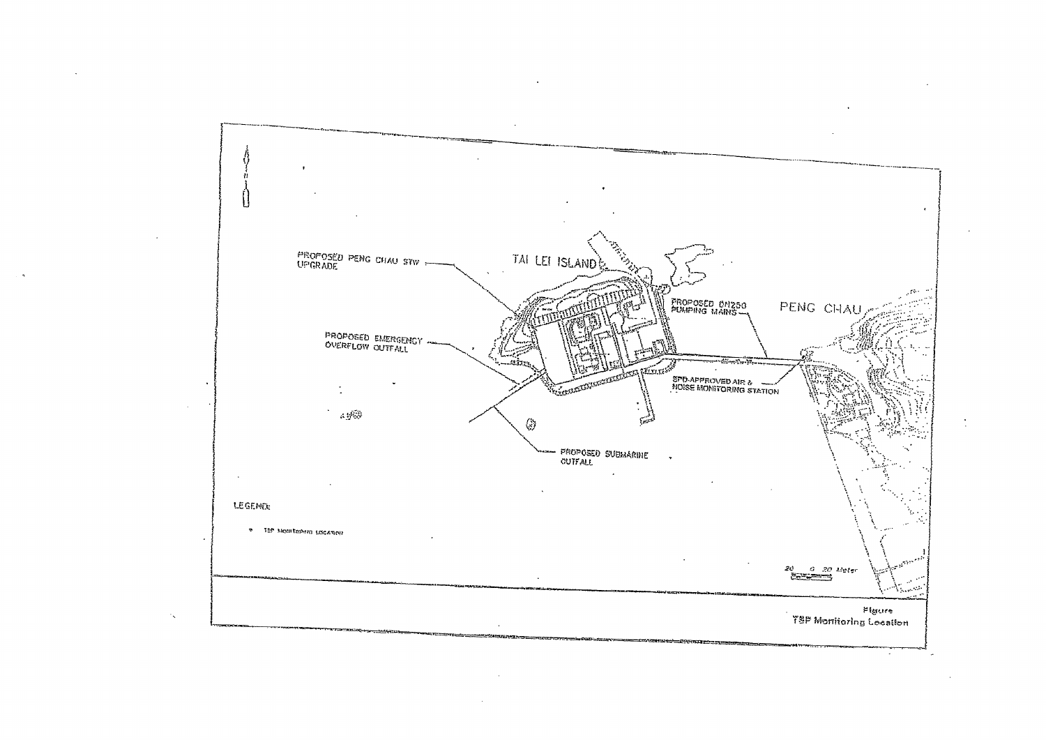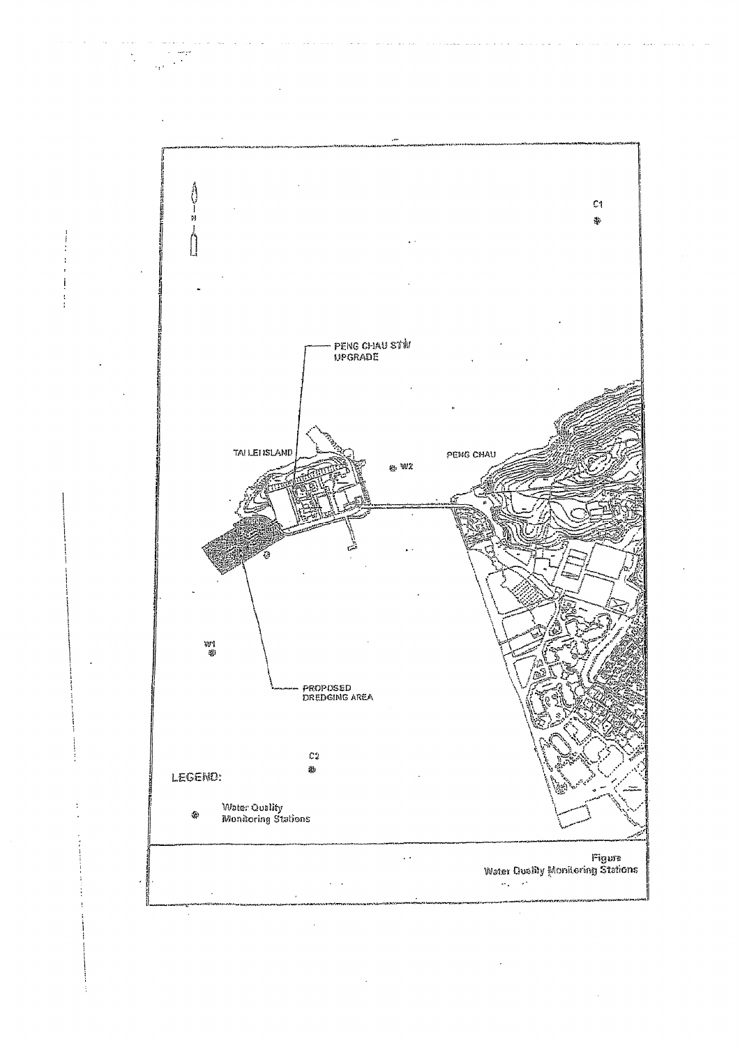

 $\sim$ 

**Contract** 

 $\sim$   $\sim$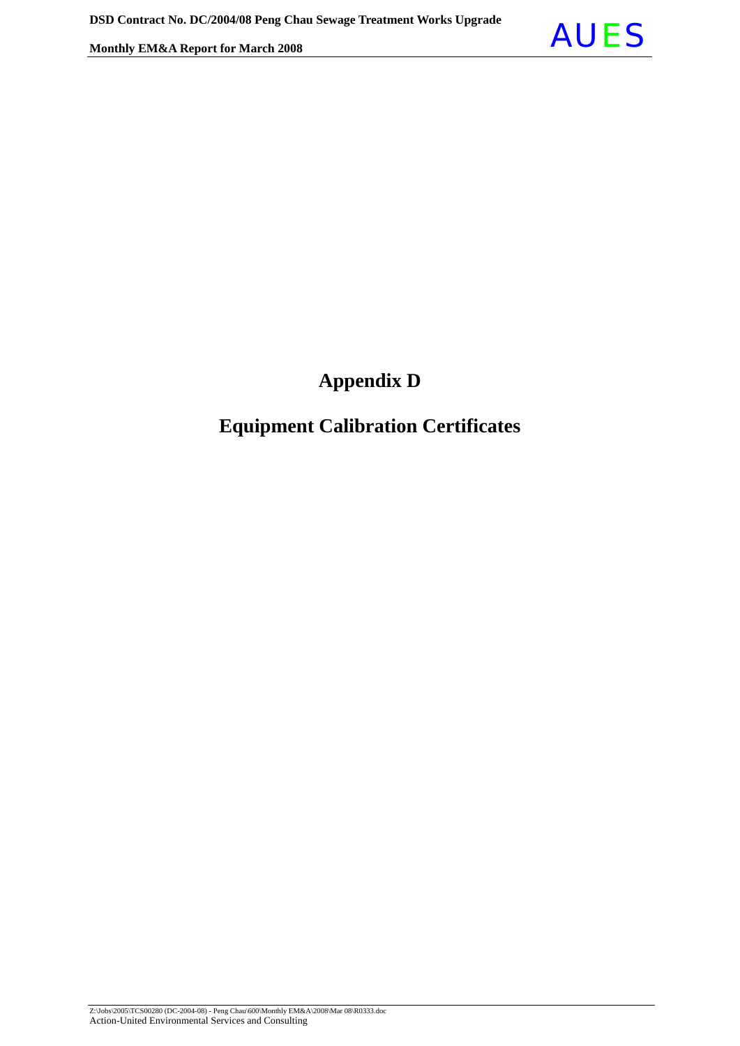

## **Appendix D**

## **Equipment Calibration Certificates**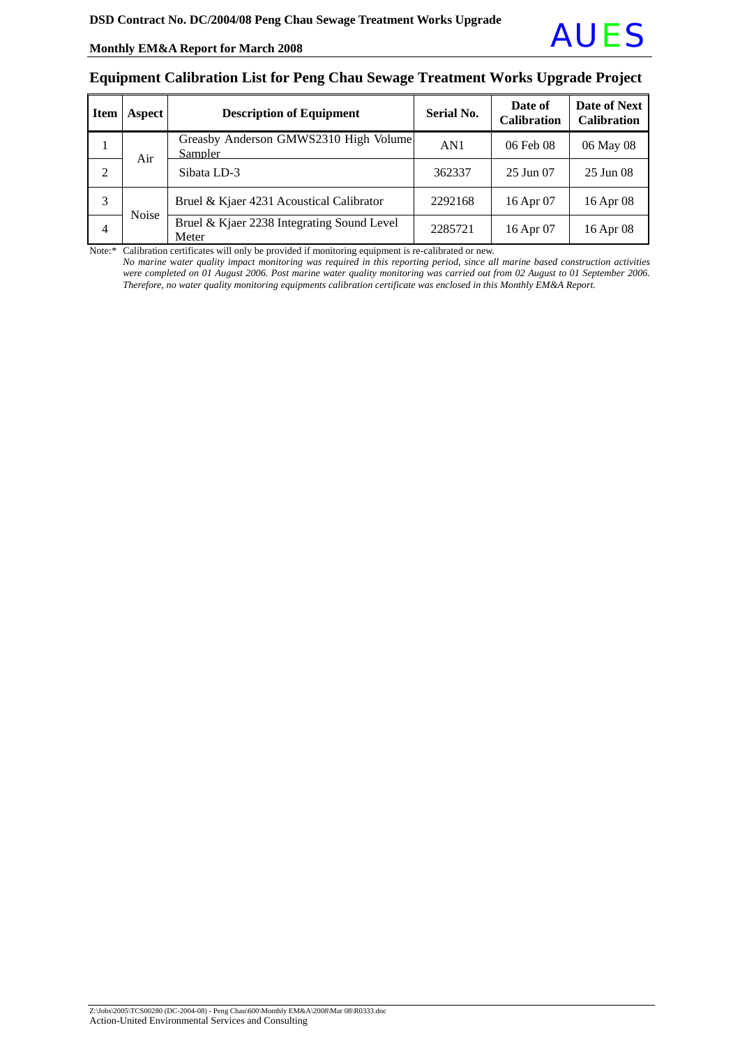

#### **Equipment Calibration List for Peng Chau Sewage Treatment Works Upgrade Project**

| <b>Item</b>    | Aspect       | <b>Description of Equipment</b>                     | Serial No. | Date of<br><b>Calibration</b> | Date of Next<br><b>Calibration</b> |
|----------------|--------------|-----------------------------------------------------|------------|-------------------------------|------------------------------------|
|                | Air          | Greasby Anderson GMWS2310 High Volume<br>Sampler    | AN1        | 06 Feb 08                     | 06 May 08                          |
| $\overline{2}$ |              | Sibata LD-3                                         | 362337     | 25 Jun 07                     | 25 Jun 08                          |
| 3              | <b>Noise</b> | Bruel & Kjaer 4231 Acoustical Calibrator            | 2292168    | 16 Apr 07                     | 16 Apr 08                          |
| $\overline{4}$ |              | Bruel & Kjaer 2238 Integrating Sound Level<br>Meter | 2285721    | 16 Apr 07                     | 16 Apr 08                          |

Note:\* Calibration certificates will only be provided if monitoring equipment is re-calibrated or new.

*No marine* w*ater quality impact monitoring was required in this reporting period, since all marine based construction activities were completed on 01 August 2006. Post marine water quality monitoring was carried out from 02 August to 01 September 2006. Therefore, no water quality monitoring equipments calibration certificate was enclosed in this Monthly EM&A Report.*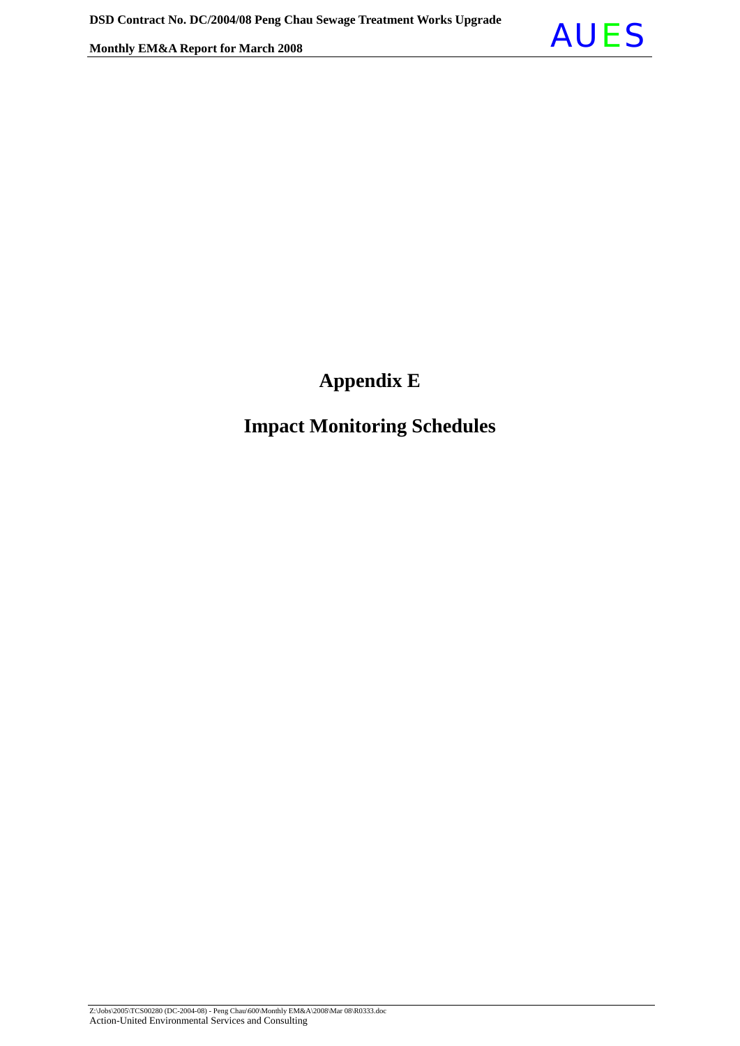

## **Appendix E**

## **Impact Monitoring Schedules**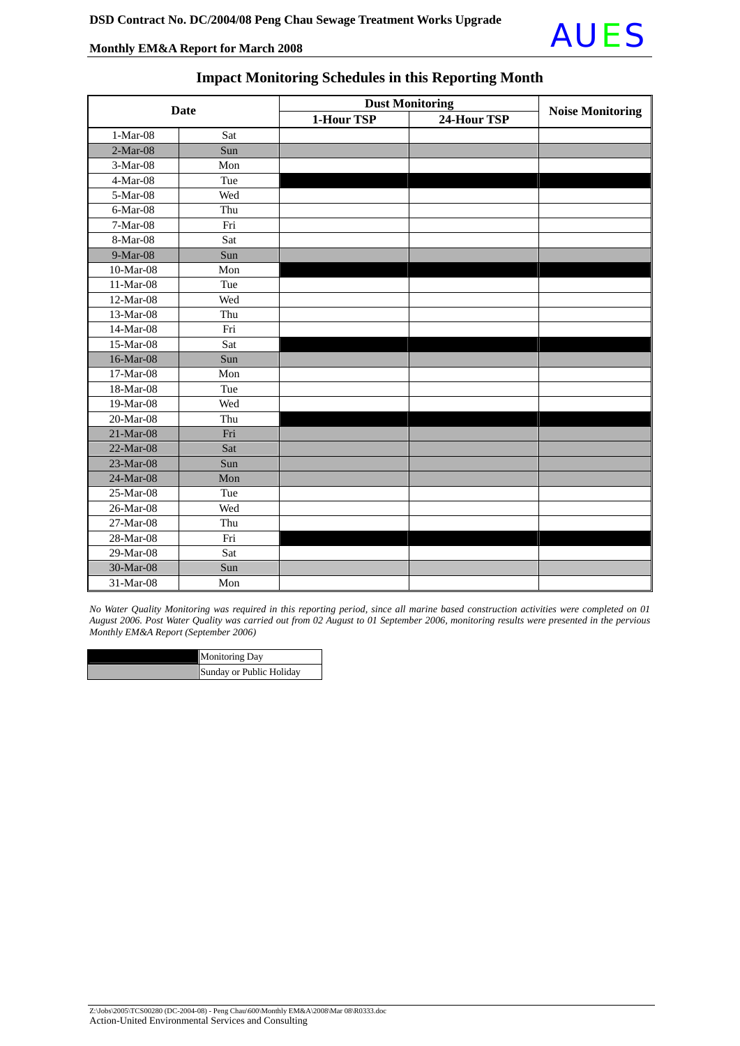

| <b>Date</b> |     | <b>Dust Monitoring</b> | <b>Noise Monitoring</b> |  |
|-------------|-----|------------------------|-------------------------|--|
|             |     | 1-Hour TSP             | 24-Hour TSP             |  |
| $1-Mar-08$  | Sat |                        |                         |  |
| $2-Mar-08$  | Sun |                        |                         |  |
| 3-Mar-08    | Mon |                        |                         |  |
| 4-Mar-08    | Tue |                        |                         |  |
| 5-Mar-08    | Wed |                        |                         |  |
| 6-Mar-08    | Thu |                        |                         |  |
| 7-Mar-08    | Fri |                        |                         |  |
| 8-Mar-08    | Sat |                        |                         |  |
| 9-Mar-08    | Sun |                        |                         |  |
| 10-Mar-08   | Mon |                        |                         |  |
| 11-Mar-08   | Tue |                        |                         |  |
| 12-Mar-08   | Wed |                        |                         |  |
| 13-Mar-08   | Thu |                        |                         |  |
| 14-Mar-08   | Fri |                        |                         |  |
| 15-Mar-08   | Sat |                        |                         |  |
| 16-Mar-08   | Sun |                        |                         |  |
| 17-Mar-08   | Mon |                        |                         |  |
| 18-Mar-08   | Tue |                        |                         |  |
| 19-Mar-08   | Wed |                        |                         |  |
| 20-Mar-08   | Thu |                        |                         |  |
| 21-Mar-08   | Fri |                        |                         |  |
| 22-Mar-08   | Sat |                        |                         |  |
| 23-Mar-08   | Sun |                        |                         |  |
| 24-Mar-08   | Mon |                        |                         |  |
| 25-Mar-08   | Tue |                        |                         |  |
| 26-Mar-08   | Wed |                        |                         |  |
| 27-Mar-08   | Thu |                        |                         |  |
| 28-Mar-08   | Fri |                        |                         |  |
| 29-Mar-08   | Sat |                        |                         |  |
| 30-Mar-08   | Sun |                        |                         |  |
| 31-Mar-08   | Mon |                        |                         |  |

#### **Impact Monitoring Schedules in this Reporting Month**

*No Water Quality Monitoring was required in this reporting period, since all marine based construction activities were completed on 01 August 2006. Post Water Quality was carried out from 02 August to 01 September 2006, monitoring results were presented in the pervious Monthly EM&A Report (September 2006)* 

| <b>Monitoring Day</b>    |
|--------------------------|
| Sunday or Public Holiday |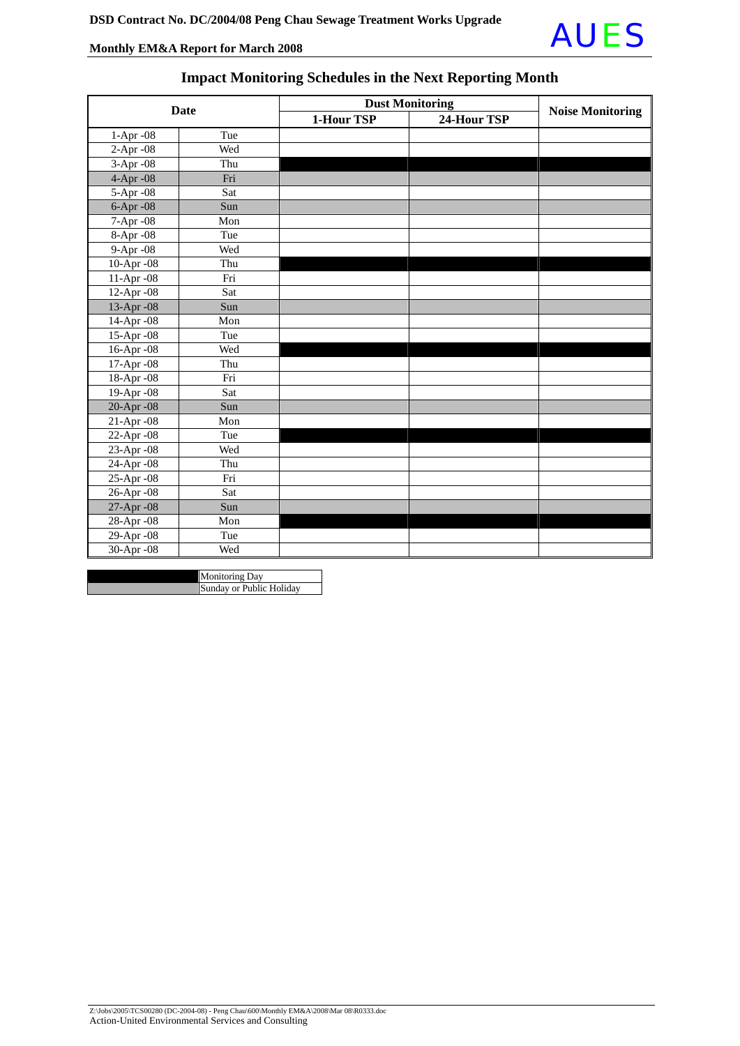13-Apr -08 Sun 14-Apr -08 Mon 15-Apr -08 Tue 16-Apr -08 Wed 17-Apr -08 Thu 18-Apr -08 Fri 19-Apr -08 Sat 20-Apr -08 Sun 21-Apr -08 Mon 22-Apr -08 Tue



#### **Date Dust Monitoring**<br>**Date 1-Hour TSP 24-Hour TSP Noise Monitoring** 1-Apr -08 Tue 2-Apr -08 Wed 3-Apr -08 Thu 4-Apr -08 Fri 5-Apr -08 Sat 6-Apr -08 Sun 7-Apr -08 Mon 8-Apr -08 Tue 9-Apr -08 Wed 10-Apr -08 Thu 11-Apr -08 Fri 12-Apr -08 Sat

#### **Impact Monitoring Schedules in the Next Reporting Month**

| I<br>$23$ -Apr -08 | Wed                      |  |  |
|--------------------|--------------------------|--|--|
| 24-Apr -08         | Thu                      |  |  |
| 25-Apr -08         | Fri                      |  |  |
| 26-Apr -08         | Sat                      |  |  |
| 27-Apr -08         | Sun                      |  |  |
| 28-Apr -08         | Mon                      |  |  |
| 29-Apr -08         | Tue                      |  |  |
| 30-Apr -08         | Wed                      |  |  |
|                    |                          |  |  |
|                    | <b>Monitoring Day</b>    |  |  |
|                    | Sunday or Public Holiday |  |  |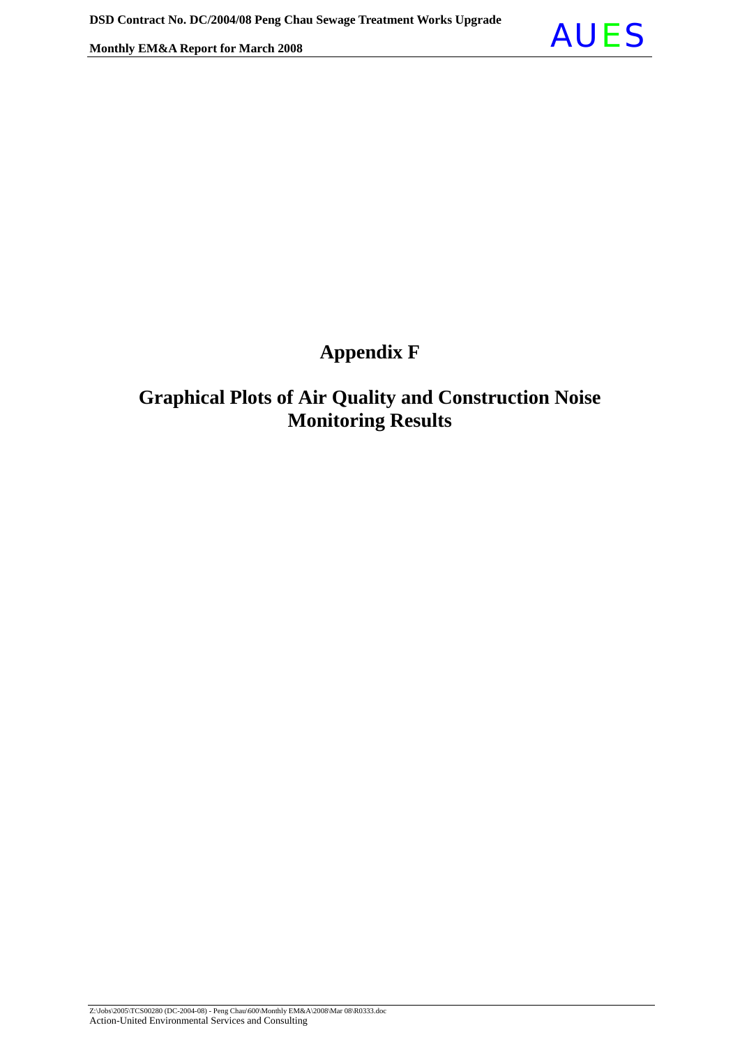

## **Appendix F**

## **Graphical Plots of Air Quality and Construction Noise Monitoring Results**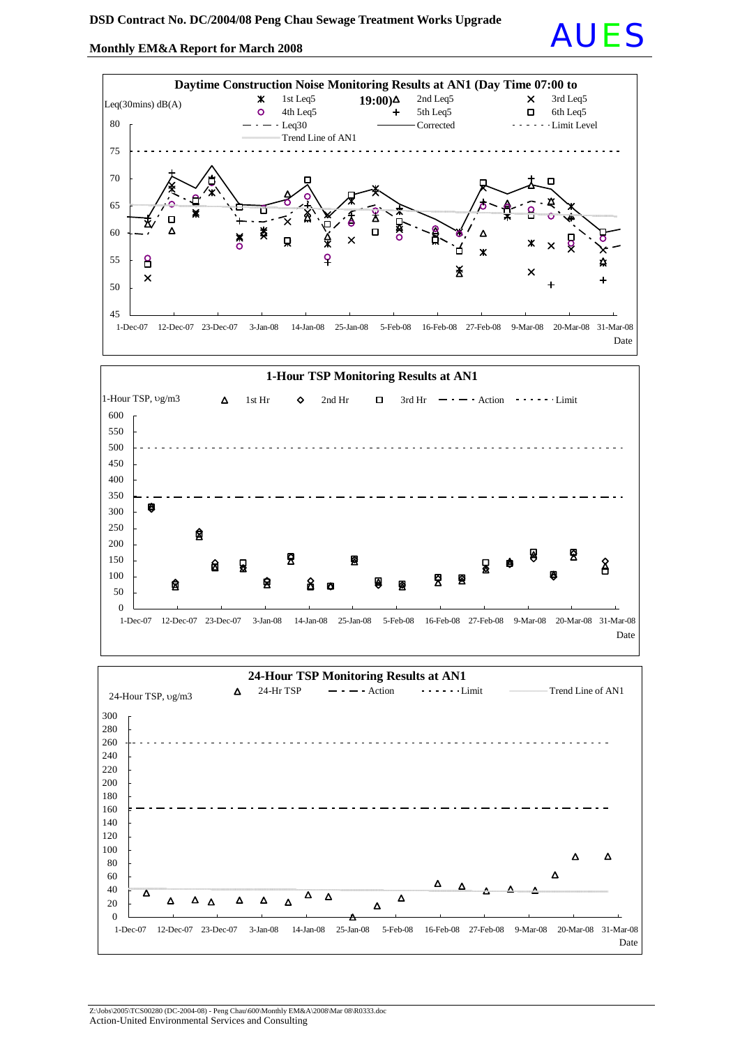## Monthly EM&A Report for March 2008

囱

囱

Я

ឆ្ល

昱





Ø

阒

딫

8

 $\mathbf{\hat{A}}$ 

0 1-Dec-07 12-Dec-07 23-Dec-07 3-Jan-08 14-Jan-08 25-Jan-08 5-Feb-08 16-Feb-08 27-Feb-08 9-Mar-08 20-Mar-08 31-Mar-08 Date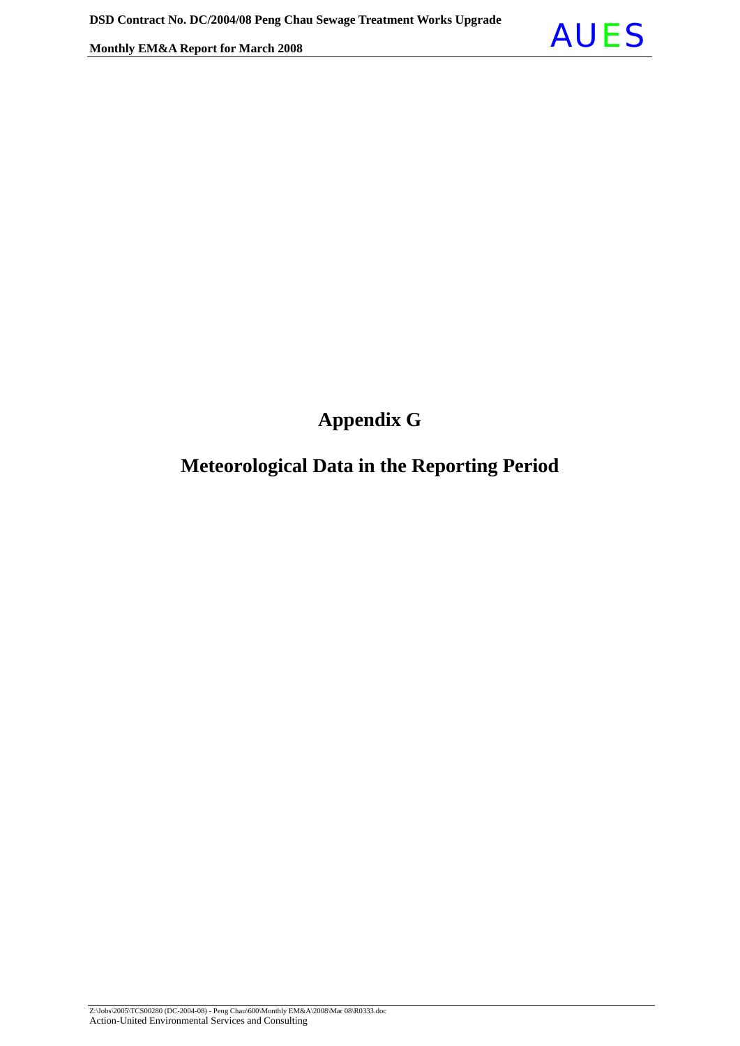

## **Appendix G**

## **Meteorological Data in the Reporting Period**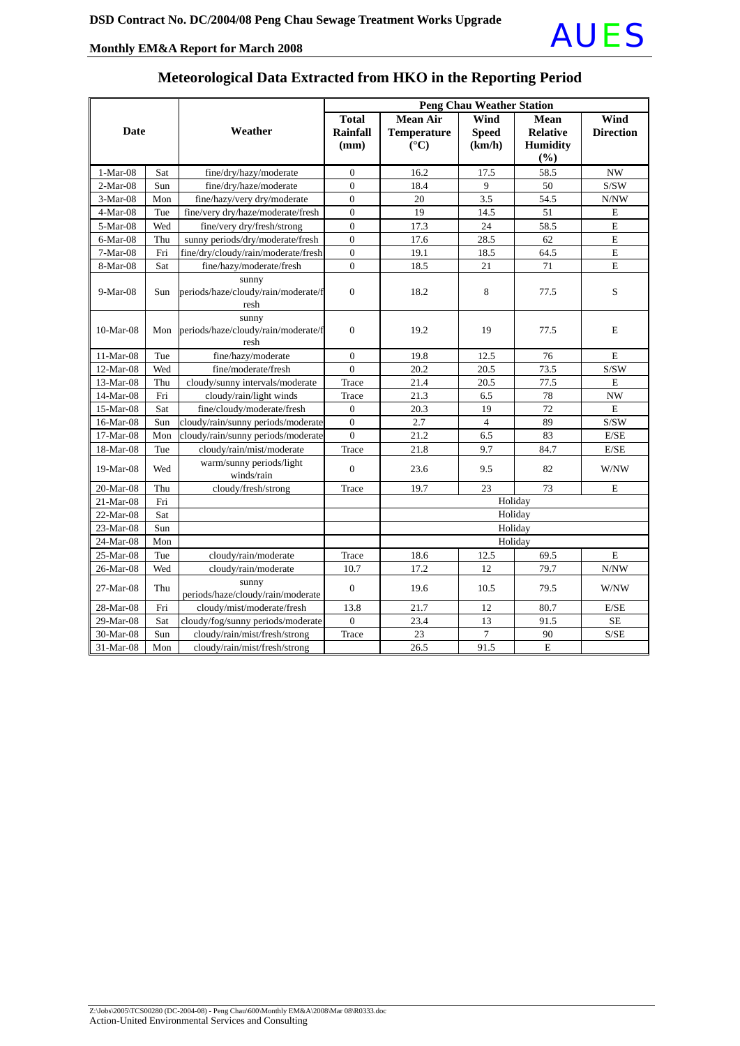

### **Meteorological Data Extracted from HKO in the Reporting Period**

| <b>Date</b>      |     |                                                      | <b>Peng Chau Weather Station</b> |                                                   |                                |                                                          |                          |  |
|------------------|-----|------------------------------------------------------|----------------------------------|---------------------------------------------------|--------------------------------|----------------------------------------------------------|--------------------------|--|
|                  |     | Weather                                              | Total<br>Rainfall<br>(mm)        | Mean Air<br><b>Temperature</b><br>$({}^{\circ}C)$ | Wind<br><b>Speed</b><br>(km/h) | <b>Mean</b><br><b>Relative</b><br><b>Humidity</b><br>(%) | Wind<br><b>Direction</b> |  |
| $1-Mar-08$       | Sat | fine/dry/hazy/moderate                               | $\mathbf{0}$                     | 16.2                                              | 17.5                           | 58.5                                                     | <b>NW</b>                |  |
| $2-Mar-08$       | Sun | fine/dry/haze/moderate                               | $\overline{0}$                   | 18.4                                              | 9                              | 50                                                       | S/SW                     |  |
| 3-Mar-08         | Mon | fine/hazy/very dry/moderate                          | $\boldsymbol{0}$                 | 20                                                | 3.5                            | 54.5                                                     | N/NW                     |  |
| $4-Mar-08$       | Tue | fine/very dry/haze/moderate/fresh                    | $\overline{0}$                   | 19                                                | 14.5                           | 51                                                       | E                        |  |
| 5-Mar-08         | Wed | fine/very dry/fresh/strong                           | $\boldsymbol{0}$                 | 17.3                                              | 24                             | 58.5                                                     | $\mathbf E$              |  |
| $6-Mar-08$       | Thu | sunny periods/dry/moderate/fresh                     | $\overline{0}$                   | 17.6                                              | 28.5                           | 62                                                       | E                        |  |
| $7-Mar-08$       | Fri | fine/dry/cloudy/rain/moderate/fresh                  | $\boldsymbol{0}$                 | 19.1                                              | 18.5                           | 64.5                                                     | $\mathbf E$              |  |
| 8-Mar-08         | Sat | fine/hazy/moderate/fresh                             | $\theta$                         | 18.5                                              | 21                             | 71                                                       | $\overline{E}$           |  |
| $9-Mar-08$       | Sun | sunny<br>periods/haze/cloudy/rain/moderate/f<br>resh | $\boldsymbol{0}$                 | 18.2                                              | 8                              | 77.5                                                     | S                        |  |
| $10-Mar-08$      | Mon | sunny<br>periods/haze/cloudy/rain/moderate/f<br>resh | $\mathbf{0}$                     | 19.2                                              | 19                             | 77.5                                                     | E                        |  |
| $11-Mar-08$      | Tue | fine/hazy/moderate                                   | $\Omega$                         | 19.8                                              | 12.5                           | 76                                                       | E                        |  |
| $12-Mar-08$      | Wed | fine/moderate/fresh                                  | $\theta$                         | 20.2                                              | 20.5                           | 73.5                                                     | S/SW                     |  |
| 13-Mar-08        | Thu | cloudy/sunny intervals/moderate                      | Trace                            | 21.4                                              | 20.5                           | 77.5                                                     | E                        |  |
| 14-Mar-08        | Fri | cloudy/rain/light winds                              | Trace                            | 21.3                                              | 6.5                            | 78                                                       | <b>NW</b>                |  |
| 15-Mar-08        | Sat | fine/cloudy/moderate/fresh                           | $\theta$                         | 20.3                                              | 19                             | 72                                                       | E                        |  |
| 16-Mar-08        | Sun | cloudy/rain/sunny periods/moderate                   | $\boldsymbol{0}$                 | 2.7                                               | $\overline{4}$                 | 89                                                       | S/SW                     |  |
| 17-Mar-08        | Mon | cloudy/rain/sunny periods/moderate                   | $\theta$                         | 21.2                                              | 6.5                            | 83                                                       | E/SE                     |  |
| 18-Mar-08        | Tue | cloudy/rain/mist/moderate                            | Trace                            | 21.8                                              | 9.7                            | 84.7                                                     | E/SE                     |  |
| 19-Mar-08        | Wed | warm/sunny periods/light<br>winds/rain               | $\boldsymbol{0}$                 | 23.6                                              | 9.5                            | 82                                                       | W/NW                     |  |
| 20-Mar-08        | Thu | cloudy/fresh/strong                                  | Trace                            | 19.7                                              | 23                             | 73                                                       | E                        |  |
| 21-Mar-08        | Fri |                                                      |                                  |                                                   |                                | Holiday                                                  |                          |  |
| 22-Mar-08        | Sat |                                                      |                                  |                                                   |                                | Holiday                                                  |                          |  |
| 23-Mar-08<br>Sun |     |                                                      |                                  | Holiday                                           |                                |                                                          |                          |  |
| 24-Mar-08        | Mon |                                                      |                                  | Holiday                                           |                                |                                                          |                          |  |
| 25-Mar-08        | Tue | cloudy/rain/moderate                                 | Trace                            | 18.6                                              | 12.5                           | 69.5                                                     | $\mathbf E$              |  |
| 26-Mar-08        | Wed | cloudy/rain/moderate                                 | 10.7                             | 17.2                                              | 12                             | 79.7                                                     | N/NW                     |  |
| 27-Mar-08        | Thu | sunny<br>periods/haze/cloudy/rain/moderate           | $\mathbf{0}$                     | 19.6                                              | 10.5                           | 79.5                                                     | W/NW                     |  |
| 28-Mar-08        | Fri | cloudy/mist/moderate/fresh                           | 13.8                             | 21.7                                              | 12                             | 80.7                                                     | E/SE                     |  |
| 29-Mar-08        | Sat | cloudy/fog/sunny periods/moderate                    | $\mathbf{0}$                     | 23.4                                              | 13                             | 91.5                                                     | <b>SE</b>                |  |
| 30-Mar-08        | Sun | cloudy/rain/mist/fresh/strong                        | Trace                            | 23                                                | $\overline{7}$                 | 90                                                       | S/SE                     |  |
| 31-Mar-08        | Mon | cloudy/rain/mist/fresh/strong                        |                                  | 26.5                                              | 91.5                           | $\mathbf E$                                              |                          |  |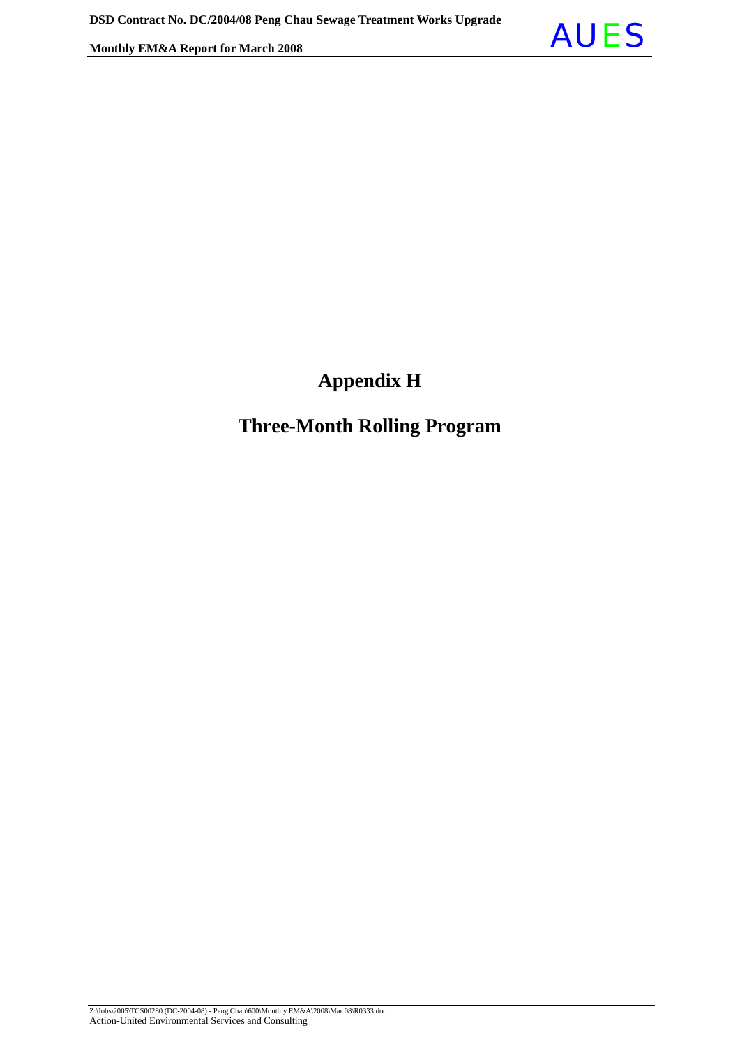

## **Appendix H**

## **Three-Month Rolling Program**